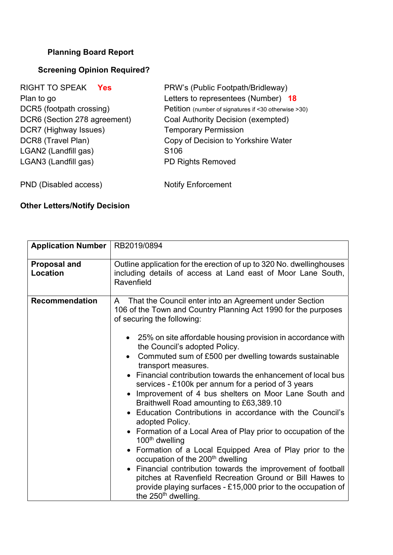# **Planning Board Report**

# **Screening Opinion Required?**

| RIGHT TO SPEAK Yes           | PRW's (Public Footpath/Bridleway)                    |
|------------------------------|------------------------------------------------------|
| Plan to go                   | Letters to representees (Number) 18                  |
| DCR5 (footpath crossing)     | Petition (number of signatures if <30 otherwise >30) |
| DCR6 (Section 278 agreement) | Coal Authority Decision (exempted)                   |
| DCR7 (Highway Issues)        | <b>Temporary Permission</b>                          |
| DCR8 (Travel Plan)           | Copy of Decision to Yorkshire Water                  |
| LGAN2 (Landfill gas)         | S <sub>106</sub>                                     |
| LGAN3 (Landfill gas)         | <b>PD Rights Removed</b>                             |
| PND (Disabled access)        | <b>Notify Enforcement</b>                            |

# **Other Letters/Notify Decision**

| <b>Application Number</b>       | RB2019/0894                                                                                                                                                                                                                                                                                                                                                                                                                                                                                                                                                                                                                                                                        |
|---------------------------------|------------------------------------------------------------------------------------------------------------------------------------------------------------------------------------------------------------------------------------------------------------------------------------------------------------------------------------------------------------------------------------------------------------------------------------------------------------------------------------------------------------------------------------------------------------------------------------------------------------------------------------------------------------------------------------|
| <b>Proposal and</b><br>Location | Outline application for the erection of up to 320 No. dwellinghouses<br>including details of access at Land east of Moor Lane South,<br>Ravenfield                                                                                                                                                                                                                                                                                                                                                                                                                                                                                                                                 |
| <b>Recommendation</b>           | That the Council enter into an Agreement under Section<br>A<br>106 of the Town and Country Planning Act 1990 for the purposes<br>of securing the following:<br>• 25% on site affordable housing provision in accordance with<br>the Council's adopted Policy.<br>Commuted sum of £500 per dwelling towards sustainable<br>$\bullet$<br>transport measures.<br>• Financial contribution towards the enhancement of local bus<br>services - £100k per annum for a period of 3 years<br>Improvement of 4 bus shelters on Moor Lane South and<br>$\bullet$<br>Braithwell Road amounting to £63,389.10<br>• Education Contributions in accordance with the Council's<br>adopted Policy. |
|                                 | • Formation of a Local Area of Play prior to occupation of the<br>100 <sup>th</sup> dwelling<br>• Formation of a Local Equipped Area of Play prior to the<br>occupation of the 200 <sup>th</sup> dwelling                                                                                                                                                                                                                                                                                                                                                                                                                                                                          |
|                                 | • Financial contribution towards the improvement of football<br>pitches at Ravenfield Recreation Ground or Bill Hawes to<br>provide playing surfaces - £15,000 prior to the occupation of<br>the 250 <sup>th</sup> dwelling.                                                                                                                                                                                                                                                                                                                                                                                                                                                       |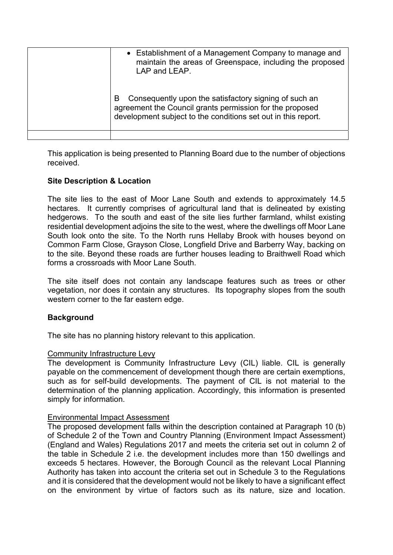| • Establishment of a Management Company to manage and<br>maintain the areas of Greenspace, including the proposed<br>LAP and LEAP.                                                      |
|-----------------------------------------------------------------------------------------------------------------------------------------------------------------------------------------|
| Consequently upon the satisfactory signing of such an<br>В<br>agreement the Council grants permission for the proposed<br>development subject to the conditions set out in this report. |
|                                                                                                                                                                                         |

This application is being presented to Planning Board due to the number of objections received.

# **Site Description & Location**

The site lies to the east of Moor Lane South and extends to approximately 14.5 hectares. It currently comprises of agricultural land that is delineated by existing hedgerows. To the south and east of the site lies further farmland, whilst existing residential development adjoins the site to the west, where the dwellings off Moor Lane South look onto the site. To the North runs Hellaby Brook with houses beyond on Common Farm Close, Grayson Close, Longfield Drive and Barberry Way, backing on to the site. Beyond these roads are further houses leading to Braithwell Road which forms a crossroads with Moor Lane South.

The site itself does not contain any landscape features such as trees or other vegetation, nor does it contain any structures. Its topography slopes from the south western corner to the far eastern edge.

# **Background**

The site has no planning history relevant to this application.

### Community Infrastructure Levy

The development is Community Infrastructure Levy (CIL) liable. CIL is generally payable on the commencement of development though there are certain exemptions, such as for self-build developments. The payment of CIL is not material to the determination of the planning application. Accordingly, this information is presented simply for information.

### Environmental Impact Assessment

The proposed development falls within the description contained at Paragraph 10 (b) of Schedule 2 of the Town and Country Planning (Environment Impact Assessment) (England and Wales) Regulations 2017 and meets the criteria set out in column 2 of the table in Schedule 2 i.e. the development includes more than 150 dwellings and exceeds 5 hectares. However, the Borough Council as the relevant Local Planning Authority has taken into account the criteria set out in Schedule 3 to the Regulations and it is considered that the development would not be likely to have a significant effect on the environment by virtue of factors such as its nature, size and location.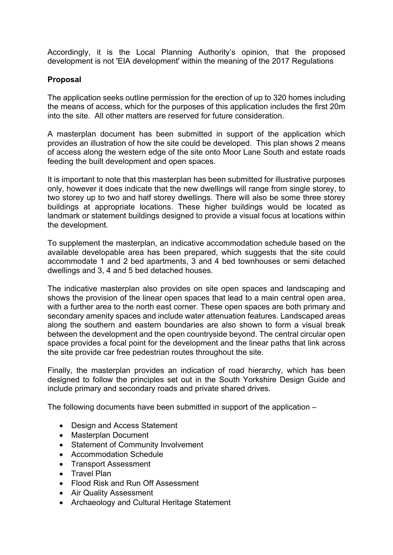Accordingly, it is the Local Planning Authority's opinion, that the proposed development is not 'EIA development' within the meaning of the 2017 Regulations

# **Proposal**

The application seeks outline permission for the erection of up to 320 homes including the means of access, which for the purposes of this application includes the first 20m into the site. All other matters are reserved for future consideration.

A masterplan document has been submitted in support of the application which provides an illustration of how the site could be developed. This plan shows 2 means of access along the western edge of the site onto Moor Lane South and estate roads feeding the built development and open spaces.

It is important to note that this masterplan has been submitted for illustrative purposes only, however it does indicate that the new dwellings will range from single storey, to two storey up to two and half storey dwellings. There will also be some three storey buildings at appropriate locations. These higher buildings would be located as landmark or statement buildings designed to provide a visual focus at locations within the development.

To supplement the masterplan, an indicative accommodation schedule based on the available developable area has been prepared, which suggests that the site could accommodate 1 and 2 bed apartments, 3 and 4 bed townhouses or semi detached dwellings and 3, 4 and 5 bed detached houses.

The indicative masterplan also provides on site open spaces and landscaping and shows the provision of the linear open spaces that lead to a main central open area, with a further area to the north east corner. These open spaces are both primary and secondary amenity spaces and include water attenuation features. Landscaped areas along the southern and eastern boundaries are also shown to form a visual break between the development and the open countryside beyond. The central circular open space provides a focal point for the development and the linear paths that link across the site provide car free pedestrian routes throughout the site.

Finally, the masterplan provides an indication of road hierarchy, which has been designed to follow the principles set out in the South Yorkshire Design Guide and include primary and secondary roads and private shared drives.

The following documents have been submitted in support of the application –

- Design and Access Statement
- Masterplan Document
- Statement of Community Involvement
- Accommodation Schedule
- Transport Assessment
- Travel Plan
- Flood Risk and Run Off Assessment
- Air Quality Assessment
- Archaeology and Cultural Heritage Statement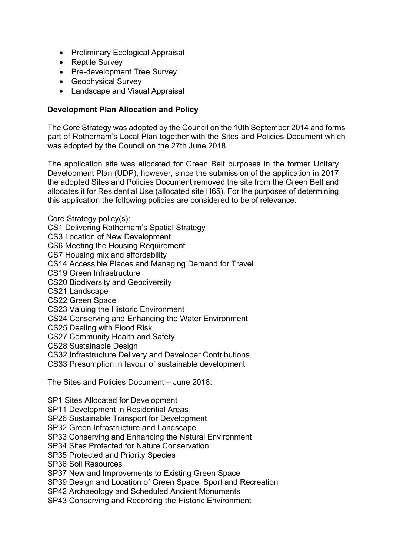- Preliminary Ecological Appraisal
- Reptile Survey
- Pre-development Tree Survey
- Geophysical Survey
- Landscape and Visual Appraisal

# **Development Plan Allocation and Policy**

The Core Strategy was adopted by the Council on the 10th September 2014 and forms part of Rotherham's Local Plan together with the Sites and Policies Document which was adopted by the Council on the 27th June 2018.

The application site was allocated for Green Belt purposes in the former Unitary Development Plan (UDP), however, since the submission of the application in 2017 the adopted Sites and Policies Document removed the site from the Green Belt and allocates it for Residential Use (allocated site H65). For the purposes of determining this application the following policies are considered to be of relevance:

Core Strategy policy(s):

- CS1 Delivering Rotherham's Spatial Strategy
- CS3 Location of New Development

CS6 Meeting the Housing Requirement

CS7 Housing mix and affordability

CS14 Accessible Places and Managing Demand for Travel

CS19 Green Infrastructure

CS20 Biodiversity and Geodiversity

CS21 Landscape

CS22 Green Space

CS23 Valuing the Historic Environment

CS24 Conserving and Enhancing the Water Environment

CS25 Dealing with Flood Risk

CS27 Community Health and Safety

CS28 Sustainable Design

CS32 Infrastructure Delivery and Developer Contributions

CS33 Presumption in favour of sustainable development

The Sites and Policies Document – June 2018:

SP1 Sites Allocated for Development

SP11 Development in Residential Areas

SP26 Sustainable Transport for Development

SP32 Green Infrastructure and Landscape

SP33 Conserving and Enhancing the Natural Environment

SP34 Sites Protected for Nature Conservation

SP35 Protected and Priority Species

SP36 Soil Resources

SP37 New and Improvements to Existing Green Space

SP39 Design and Location of Green Space, Sport and Recreation

SP42 Archaeology and Scheduled Ancient Monuments

SP43 Conserving and Recording the Historic Environment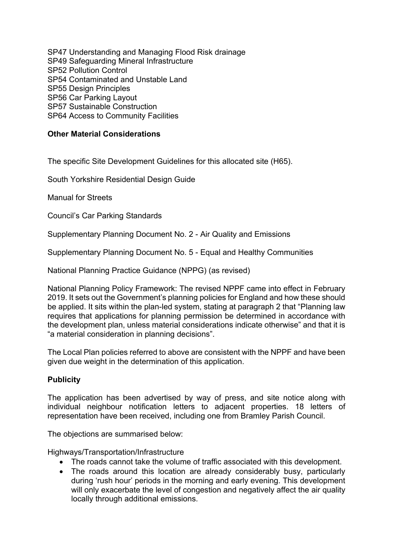SP47 Understanding and Managing Flood Risk drainage SP49 Safeguarding Mineral Infrastructure SP52 Pollution Control SP54 Contaminated and Unstable Land SP55 Design Principles SP56 Car Parking Layout SP57 Sustainable Construction SP64 Access to Community Facilities

# **Other Material Considerations**

The specific Site Development Guidelines for this allocated site (H65).

South Yorkshire Residential Design Guide

Manual for Streets

Council's Car Parking Standards

Supplementary Planning Document No. 2 - Air Quality and Emissions

Supplementary Planning Document No. 5 - Equal and Healthy Communities

National Planning Practice Guidance (NPPG) (as revised)

National Planning Policy Framework: The revised NPPF came into effect in February 2019. It sets out the Government's planning policies for England and how these should be applied. It sits within the plan-led system, stating at paragraph 2 that "Planning law requires that applications for planning permission be determined in accordance with the development plan, unless material considerations indicate otherwise" and that it is "a material consideration in planning decisions".

The Local Plan policies referred to above are consistent with the NPPF and have been given due weight in the determination of this application.

# **Publicity**

The application has been advertised by way of press, and site notice along with individual neighbour notification letters to adjacent properties. 18 letters of representation have been received, including one from Bramley Parish Council.

The objections are summarised below:

Highways/Transportation/Infrastructure

- The roads cannot take the volume of traffic associated with this development.
- The roads around this location are already considerably busy, particularly during 'rush hour' periods in the morning and early evening. This development will only exacerbate the level of congestion and negatively affect the air quality locally through additional emissions.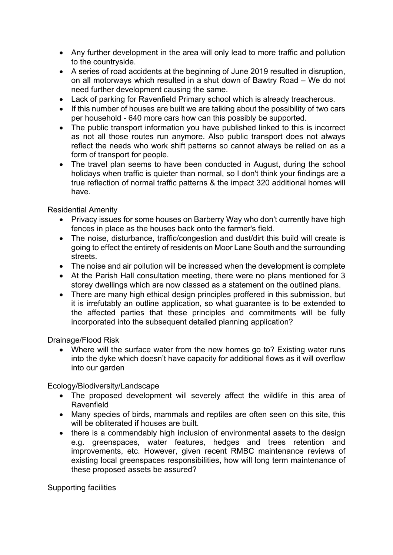- Any further development in the area will only lead to more traffic and pollution to the countryside.
- A series of road accidents at the beginning of June 2019 resulted in disruption, on all motorways which resulted in a shut down of Bawtry Road – We do not need further development causing the same.
- Lack of parking for Ravenfield Primary school which is already treacherous.
- If this number of houses are built we are talking about the possibility of two cars per household - 640 more cars how can this possibly be supported.
- The public transport information you have published linked to this is incorrect as not all those routes run anymore. Also public transport does not always reflect the needs who work shift patterns so cannot always be relied on as a form of transport for people.
- The travel plan seems to have been conducted in August, during the school holidays when traffic is quieter than normal, so I don't think your findings are a true reflection of normal traffic patterns & the impact 320 additional homes will have.

Residential Amenity

- Privacy issues for some houses on Barberry Way who don't currently have high fences in place as the houses back onto the farmer's field.
- The noise, disturbance, traffic/congestion and dust/dirt this build will create is going to effect the entirety of residents on Moor Lane South and the surrounding streets.
- The noise and air pollution will be increased when the development is complete
- At the Parish Hall consultation meeting, there were no plans mentioned for 3 storey dwellings which are now classed as a statement on the outlined plans.
- There are many high ethical design principles proffered in this submission, but it is irrefutably an outline application, so what guarantee is to be extended to the affected parties that these principles and commitments will be fully incorporated into the subsequent detailed planning application?

Drainage/Flood Risk

 Where will the surface water from the new homes go to? Existing water runs into the dyke which doesn't have capacity for additional flows as it will overflow into our garden

Ecology/Biodiversity/Landscape

- The proposed development will severely affect the wildlife in this area of Ravenfield
- Many species of birds, mammals and reptiles are often seen on this site, this will be obliterated if houses are built.
- there is a commendably high inclusion of environmental assets to the design e.g. greenspaces, water features, hedges and trees retention and improvements, etc. However, given recent RMBC maintenance reviews of existing local greenspaces responsibilities, how will long term maintenance of these proposed assets be assured?

Supporting facilities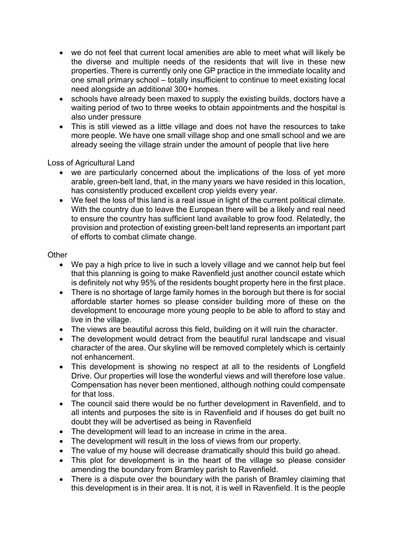- we do not feel that current local amenities are able to meet what will likely be the diverse and multiple needs of the residents that will live in these new properties. There is currently only one GP practice in the immediate locality and one small primary school – totally insufficient to continue to meet existing local need alongside an additional 300+ homes.
- schools have already been maxed to supply the existing builds, doctors have a waiting period of two to three weeks to obtain appointments and the hospital is also under pressure
- This is still viewed as a little village and does not have the resources to take more people. We have one small village shop and one small school and we are already seeing the village strain under the amount of people that live here

Loss of Agricultural Land

- we are particularly concerned about the implications of the loss of yet more arable, green-belt land, that, in the many years we have resided in this location, has consistently produced excellent crop yields every year.
- We feel the loss of this land is a real issue in light of the current political climate. With the country due to leave the European there will be a likely and real need to ensure the country has sufficient land available to grow food. Relatedly, the provision and protection of existing green-belt land represents an important part of efforts to combat climate change.

# **Other**

- We pay a high price to live in such a lovely village and we cannot help but feel that this planning is going to make Ravenfield just another council estate which is definitely not why 95% of the residents bought property here in the first place.
- There is no shortage of large family homes in the borough but there is for social affordable starter homes so please consider building more of these on the development to encourage more young people to be able to afford to stay and live in the village.
- The views are beautiful across this field, building on it will ruin the character.
- The development would detract from the beautiful rural landscape and visual character of the area. Our skyline will be removed completely which is certainly not enhancement.
- This development is showing no respect at all to the residents of Longfield Drive. Our properties will lose the wonderful views and will therefore lose value. Compensation has never been mentioned, although nothing could compensate for that loss.
- The council said there would be no further development in Ravenfield, and to all intents and purposes the site is in Ravenfield and if houses do get built no doubt they will be advertised as being in Ravenfield
- The development will lead to an increase in crime in the area.
- The development will result in the loss of views from our property.
- The value of my house will decrease dramatically should this build go ahead.
- This plot for development is in the heart of the village so please consider amending the boundary from Bramley parish to Ravenfield.
- There is a dispute over the boundary with the parish of Bramley claiming that this development is in their area. It is not, it is well in Ravenfield. It is the people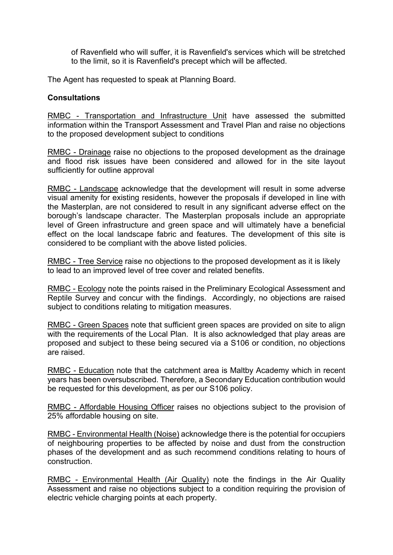of Ravenfield who will suffer, it is Ravenfield's services which will be stretched to the limit, so it is Ravenfield's precept which will be affected.

The Agent has requested to speak at Planning Board.

### **Consultations**

RMBC - Transportation and Infrastructure Unit have assessed the submitted information within the Transport Assessment and Travel Plan and raise no objections to the proposed development subject to conditions

RMBC - Drainage raise no objections to the proposed development as the drainage and flood risk issues have been considered and allowed for in the site layout sufficiently for outline approval

RMBC - Landscape acknowledge that the development will result in some adverse visual amenity for existing residents, however the proposals if developed in line with the Masterplan, are not considered to result in any significant adverse effect on the borough's landscape character. The Masterplan proposals include an appropriate level of Green infrastructure and green space and will ultimately have a beneficial effect on the local landscape fabric and features. The development of this site is considered to be compliant with the above listed policies.

RMBC - Tree Service raise no objections to the proposed development as it is likely to lead to an improved level of tree cover and related benefits.

RMBC - Ecology note the points raised in the Preliminary Ecological Assessment and Reptile Survey and concur with the findings. Accordingly, no objections are raised subject to conditions relating to mitigation measures.

RMBC - Green Spaces note that sufficient green spaces are provided on site to align with the requirements of the Local Plan. It is also acknowledged that play areas are proposed and subject to these being secured via a S106 or condition, no objections are raised.

RMBC - Education note that the catchment area is Maltby Academy which in recent years has been oversubscribed. Therefore, a Secondary Education contribution would be requested for this development, as per our S106 policy.

RMBC - Affordable Housing Officer raises no objections subject to the provision of 25% affordable housing on site.

RMBC - Environmental Health (Noise) acknowledge there is the potential for occupiers of neighbouring properties to be affected by noise and dust from the construction phases of the development and as such recommend conditions relating to hours of construction.

RMBC - Environmental Health (Air Quality) note the findings in the Air Quality Assessment and raise no objections subject to a condition requiring the provision of electric vehicle charging points at each property.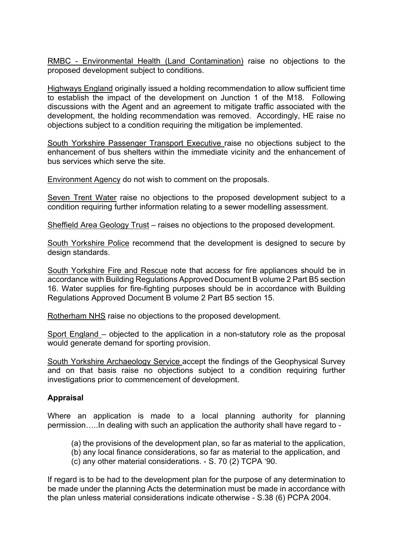RMBC - Environmental Health (Land Contamination) raise no objections to the proposed development subject to conditions.

Highways England originally issued a holding recommendation to allow sufficient time to establish the impact of the development on Junction 1 of the M18. Following discussions with the Agent and an agreement to mitigate traffic associated with the development, the holding recommendation was removed. Accordingly, HE raise no objections subject to a condition requiring the mitigation be implemented.

South Yorkshire Passenger Transport Executive raise no objections subject to the enhancement of bus shelters within the immediate vicinity and the enhancement of bus services which serve the site.

Environment Agency do not wish to comment on the proposals.

Seven Trent Water raise no objections to the proposed development subject to a condition requiring further information relating to a sewer modelling assessment.

Sheffield Area Geology Trust – raises no objections to the proposed development.

South Yorkshire Police recommend that the development is designed to secure by design standards.

South Yorkshire Fire and Rescue note that access for fire appliances should be in accordance with Building Regulations Approved Document B volume 2 Part B5 section 16. Water supplies for fire-fighting purposes should be in accordance with Building Regulations Approved Document B volume 2 Part B5 section 15.

Rotherham NHS raise no objections to the proposed development.

Sport England – objected to the application in a non-statutory role as the proposal would generate demand for sporting provision.

South Yorkshire Archaeology Service accept the findings of the Geophysical Survey and on that basis raise no objections subject to a condition requiring further investigations prior to commencement of development.

# **Appraisal**

Where an application is made to a local planning authority for planning permission…..In dealing with such an application the authority shall have regard to -

- (a) the provisions of the development plan, so far as material to the application,
- (b) any local finance considerations, so far as material to the application, and
- (c) any other material considerations. S. 70 (2) TCPA '90.

If regard is to be had to the development plan for the purpose of any determination to be made under the planning Acts the determination must be made in accordance with the plan unless material considerations indicate otherwise - S.38 (6) PCPA 2004.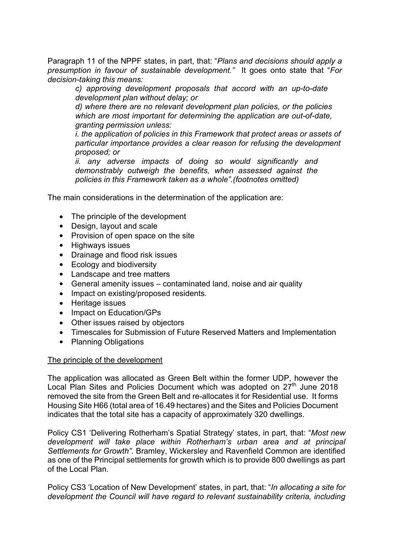Paragraph 11 of the NPPF states, in part, that: "*Plans and decisions should apply a presumption in favour of sustainable development."* It goes onto state that "*For decision-taking this means:*

*c) approving development proposals that accord with an up-to-date development plan without delay; or*

*d) where there are no relevant development plan policies, or the policies which are most important for determining the application are out-of-date, granting permission unless:*

*i. the application of policies in this Framework that protect areas or assets of particular importance provides a clear reason for refusing the development proposed; or*

*ii. any adverse impacts of doing so would significantly and demonstrably outweigh the benefits, when assessed against the policies in this Framework taken as a whole".(footnotes omitted)*

The main considerations in the determination of the application are:

- The principle of the development
- Design, layout and scale
- Provision of open space on the site
- Highways issues
- Drainage and flood risk issues
- Ecology and biodiversity
- Landscape and tree matters
- General amenity issues contaminated land, noise and air quality
- Impact on existing/proposed residents.
- Heritage issues
- Impact on Education/GPs
- Other issues raised by objectors
- Timescales for Submission of Future Reserved Matters and Implementation
- Planning Obligations

### The principle of the development

The application was allocated as Green Belt within the former UDP, however the Local Plan Sites and Policies Document which was adopted on 27<sup>th</sup> June 2018 removed the site from the Green Belt and re-allocates it for Residential use. It forms Housing Site H66 (total area of 16.49 hectares) and the Sites and Policies Document indicates that the total site has a capacity of approximately 320 dwellings.

Policy CS1 'Delivering Rotherham's Spatial Strategy' states, in part, that: "*Most new development will take place within Rotherham's urban area and at principal Settlements for Growth"*. Bramley, Wickersley and Ravenfield Common are identified as one of the Principal settlements for growth which is to provide 800 dwellings as part of the Local Plan.

Policy CS3 'Location of New Development' states, in part, that: "*In allocating a site for development the Council will have regard to relevant sustainability criteria, including*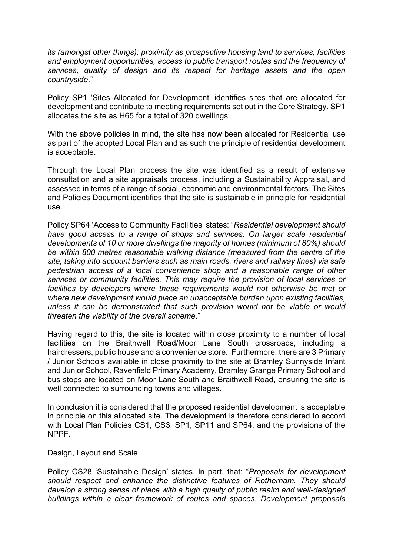*its (amongst other things): proximity as prospective housing land to services, facilities and employment opportunities, access to public transport routes and the frequency of services, quality of design and its respect for heritage assets and the open countryside*."

Policy SP1 'Sites Allocated for Development' identifies sites that are allocated for development and contribute to meeting requirements set out in the Core Strategy. SP1 allocates the site as H65 for a total of 320 dwellings.

With the above policies in mind, the site has now been allocated for Residential use as part of the adopted Local Plan and as such the principle of residential development is acceptable.

Through the Local Plan process the site was identified as a result of extensive consultation and a site appraisals process, including a Sustainability Appraisal, and assessed in terms of a range of social, economic and environmental factors. The Sites and Policies Document identifies that the site is sustainable in principle for residential use.

Policy SP64 'Access to Community Facilities' states: "*Residential development should have good access to a range of shops and services. On larger scale residential developments of 10 or more dwellings the majority of homes (minimum of 80%) should be within 800 metres reasonable walking distance (measured from the centre of the site, taking into account barriers such as main roads, rivers and railway lines) via safe pedestrian access of a local convenience shop and a reasonable range of other services or community facilities. This may require the provision of local services or facilities by developers where these requirements would not otherwise be met or where new development would place an unacceptable burden upon existing facilities, unless it can be demonstrated that such provision would not be viable or would threaten the viability of the overall scheme*."

Having regard to this, the site is located within close proximity to a number of local facilities on the Braithwell Road/Moor Lane South crossroads, including a hairdressers, public house and a convenience store. Furthermore, there are 3 Primary / Junior Schools available in close proximity to the site at Bramley Sunnyside Infant and Junior School, Ravenfield Primary Academy, Bramley Grange Primary School and bus stops are located on Moor Lane South and Braithwell Road, ensuring the site is well connected to surrounding towns and villages.

In conclusion it is considered that the proposed residential development is acceptable in principle on this allocated site. The development is therefore considered to accord with Local Plan Policies CS1, CS3, SP1, SP11 and SP64, and the provisions of the NPPF.

# Design, Layout and Scale

Policy CS28 'Sustainable Design' states, in part, that: "*Proposals for development should respect and enhance the distinctive features of Rotherham. They should develop a strong sense of place with a high quality of public realm and well-designed buildings within a clear framework of routes and spaces. Development proposals*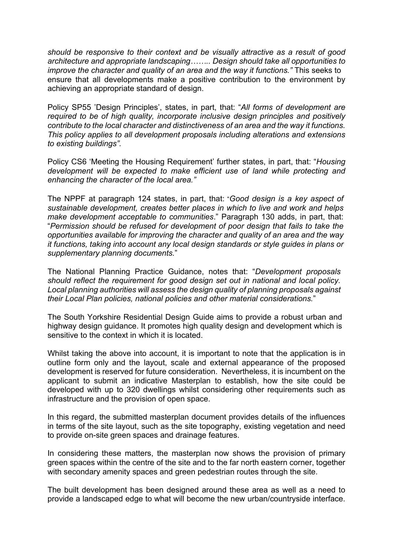*should be responsive to their context and be visually attractive as a result of good architecture and appropriate landscaping…….. Design should take all opportunities to improve the character and quality of an area and the way it functions."* This seeks to ensure that all developments make a positive contribution to the environment by achieving an appropriate standard of design.

Policy SP55 'Design Principles', states, in part, that: "*All forms of development are required to be of high quality, incorporate inclusive design principles and positively contribute to the local character and distinctiveness of an area and the way it functions. This policy applies to all development proposals including alterations and extensions to existing buildings".* 

Policy CS6 'Meeting the Housing Requirement' further states, in part, that: "*Housing development will be expected to make efficient use of land while protecting and enhancing the character of the local area."* 

The NPPF at paragraph 124 states, in part, that: "*Good design is a key aspect of sustainable development, creates better places in which to live and work and helps make development acceptable to communities*." Paragraph 130 adds, in part, that: "*Permission should be refused for development of poor design that fails to take the opportunities available for improving the character and quality of an area and the way it functions, taking into account any local design standards or style guides in plans or supplementary planning documents.*"

The National Planning Practice Guidance, notes that: "*Development proposals should reflect the requirement for good design set out in national and local policy. Local planning authorities will assess the design quality of planning proposals against their Local Plan policies, national policies and other material considerations.*"

The South Yorkshire Residential Design Guide aims to provide a robust urban and highway design guidance. It promotes high quality design and development which is sensitive to the context in which it is located.

Whilst taking the above into account, it is important to note that the application is in outline form only and the layout, scale and external appearance of the proposed development is reserved for future consideration. Nevertheless, it is incumbent on the applicant to submit an indicative Masterplan to establish, how the site could be developed with up to 320 dwellings whilst considering other requirements such as infrastructure and the provision of open space.

In this regard, the submitted masterplan document provides details of the influences in terms of the site layout, such as the site topography, existing vegetation and need to provide on-site green spaces and drainage features.

In considering these matters, the masterplan now shows the provision of primary green spaces within the centre of the site and to the far north eastern corner, together with secondary amenity spaces and green pedestrian routes through the site.

The built development has been designed around these area as well as a need to provide a landscaped edge to what will become the new urban/countryside interface.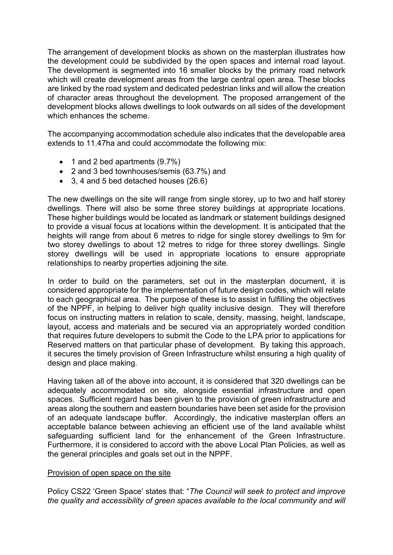The arrangement of development blocks as shown on the masterplan illustrates how the development could be subdivided by the open spaces and internal road layout. The development is segmented into 16 smaller blocks by the primary road network which will create development areas from the large central open area. These blocks are linked by the road system and dedicated pedestrian links and will allow the creation of character areas throughout the development. The proposed arrangement of the development blocks allows dwellings to look outwards on all sides of the development which enhances the scheme.

The accompanying accommodation schedule also indicates that the developable area extends to 11.47ha and could accommodate the following mix:

- 1 and 2 bed apartments (9.7%)
- 2 and 3 bed townhouses/semis (63.7%) and
- 3, 4 and 5 bed detached houses (26.6)

The new dwellings on the site will range from single storey, up to two and half storey dwellings. There will also be some three storey buildings at appropriate locations. These higher buildings would be located as landmark or statement buildings designed to provide a visual focus at locations within the development. It is anticipated that the heights will range from about 6 metres to ridge for single storey dwellings to 9m for two storey dwellings to about 12 metres to ridge for three storey dwellings. Single storey dwellings will be used in appropriate locations to ensure appropriate relationships to nearby properties adjoining the site.

In order to build on the parameters, set out in the masterplan document, it is considered appropriate for the implementation of future design codes, which will relate to each geographical area. The purpose of these is to assist in fulfilling the objectives of the NPPF, in helping to deliver high quality inclusive design. They will therefore focus on instructing matters in relation to scale, density, massing, height, landscape, layout, access and materials and be secured via an appropriately worded condition that requires future developers to submit the Code to the LPA prior to applications for Reserved matters on that particular phase of development. By taking this approach, it secures the timely provision of Green Infrastructure whilst ensuring a high quality of design and place making.

Having taken all of the above into account, it is considered that 320 dwellings can be adequately accommodated on site, alongside essential infrastructure and open spaces. Sufficient regard has been given to the provision of green infrastructure and areas along the southern and eastern boundaries have been set aside for the provision of an adequate landscape buffer. Accordingly, the indicative masterplan offers an acceptable balance between achieving an efficient use of the land available whilst safeguarding sufficient land for the enhancement of the Green Infrastructure. Furthermore, it is considered to accord with the above Local Plan Policies, as well as the general principles and goals set out in the NPPF.

# Provision of open space on the site

Policy CS22 'Green Space' states that: "*The Council will seek to protect and improve the quality and accessibility of green spaces available to the local community and will*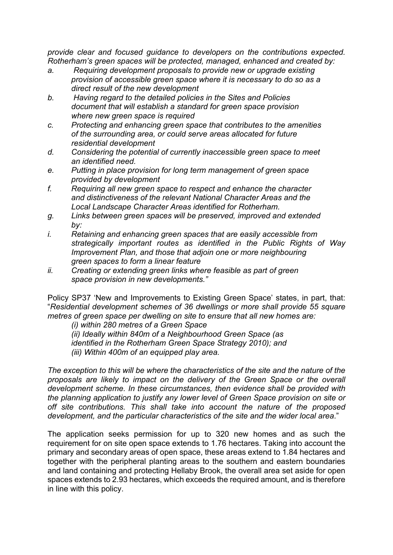*provide clear and focused guidance to developers on the contributions expected. Rotherham's green spaces will be protected, managed, enhanced and created by:* 

- *a. Requiring development proposals to provide new or upgrade existing provision of accessible green space where it is necessary to do so as a direct result of the new development*
- *b. Having regard to the detailed policies in the Sites and Policies document that will establish a standard for green space provision where new green space is required*
- *c. Protecting and enhancing green space that contributes to the amenities of the surrounding area, or could serve areas allocated for future residential development*
- *d. Considering the potential of currently inaccessible green space to meet an identified need.*
- *e. Putting in place provision for long term management of green space provided by development*
- *f. Requiring all new green space to respect and enhance the character and distinctiveness of the relevant National Character Areas and the Local Landscape Character Areas identified for Rotherham.*
- *g. Links between green spaces will be preserved, improved and extended by:*
- *i. Retaining and enhancing green spaces that are easily accessible from strategically important routes as identified in the Public Rights of Way Improvement Plan, and those that adjoin one or more neighbouring green spaces to form a linear feature*
- *ii. Creating or extending green links where feasible as part of green space provision in new developments."*

Policy SP37 'New and Improvements to Existing Green Space' states, in part, that: "*Residential development schemes of 36 dwellings or more shall provide 55 square metres of green space per dwelling on site to ensure that all new homes are:* 

*(i) within 280 metres of a Green Space* 

*(ii) Ideally within 840m of a Neighbourhood Green Space (as identified in the Rotherham Green Space Strategy 2010); and (iii) Within 400m of an equipped play area.* 

*The exception to this will be where the characteristics of the site and the nature of the proposals are likely to impact on the delivery of the Green Space or the overall development scheme. In these circumstances, then evidence shall be provided with the planning application to justify any lower level of Green Space provision on site or off site contributions. This shall take into account the nature of the proposed development, and the particular characteristics of the site and the wider local area*."

The application seeks permission for up to 320 new homes and as such the requirement for on site open space extends to 1.76 hectares. Taking into account the primary and secondary areas of open space, these areas extend to 1.84 hectares and together with the peripheral planting areas to the southern and eastern boundaries and land containing and protecting Hellaby Brook, the overall area set aside for open spaces extends to 2.93 hectares, which exceeds the required amount, and is therefore in line with this policy.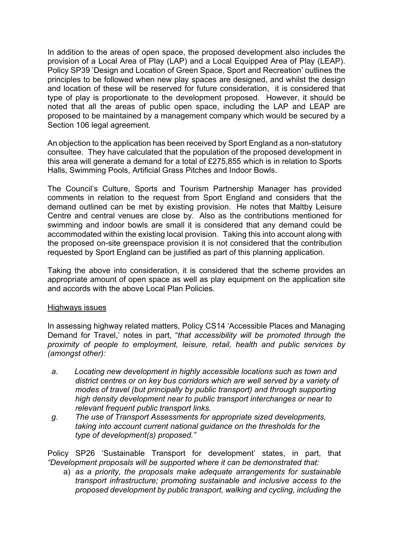In addition to the areas of open space, the proposed development also includes the provision of a Local Area of Play (LAP) and a Local Equipped Area of Play (LEAP). Policy SP39 'Design and Location of Green Space, Sport and Recreation' outlines the principles to be followed when new play spaces are designed, and whilst the design and location of these will be reserved for future consideration, it is considered that type of play is proportionate to the development proposed. However, it should be noted that all the areas of public open space, including the LAP and LEAP are proposed to be maintained by a management company which would be secured by a Section 106 legal agreement.

An objection to the application has been received by Sport England as a non-statutory consultee. They have calculated that the population of the proposed development in this area will generate a demand for a total of £275,855 which is in relation to Sports Halls, Swimming Pools, Artificial Grass Pitches and Indoor Bowls.

The Council's Culture, Sports and Tourism Partnership Manager has provided comments in relation to the request from Sport England and considers that the demand outlined can be met by existing provision. He notes that Maltby Leisure Centre and central venues are close by. Also as the contributions mentioned for swimming and indoor bowls are small it is considered that any demand could be accommodated within the existing local provision. Taking this into account along with the proposed on-site greenspace provision it is not considered that the contribution requested by Sport England can be justified as part of this planning application.

Taking the above into consideration, it is considered that the scheme provides an appropriate amount of open space as well as play equipment on the application site and accords with the above Local Plan Policies.

### Highways issues

In assessing highway related matters, Policy CS14 'Accessible Places and Managing Demand for Travel,' notes in part, "*that accessibility will be promoted through the proximity of people to employment, leisure, retail, health and public services by (amongst other):*

- *a. Locating new development in highly accessible locations such as town and district centres or on key bus corridors which are well served by a variety of modes of travel (but principally by public transport) and through supporting high density development near to public transport interchanges or near to relevant frequent public transport links.*
- *g. The use of Transport Assessments for appropriate sized developments, taking into account current national guidance on the thresholds for the type of development(s) proposed."*

Policy SP26 'Sustainable Transport for development' states, in part, that *"Development proposals will be supported where it can be demonstrated that:* 

a) *as a priority, the proposals make adequate arrangements for sustainable transport infrastructure; promoting sustainable and inclusive access to the proposed development by public transport, walking and cycling, including the*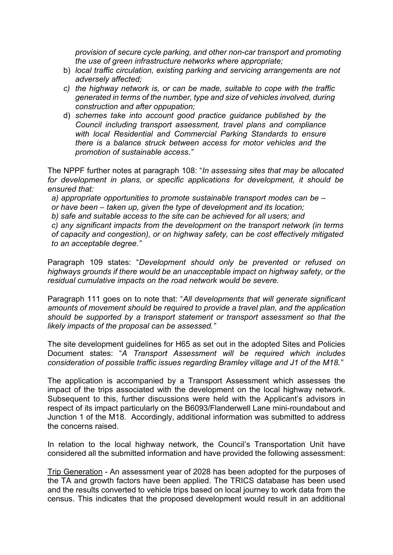*provision of secure cycle parking, and other non-car transport and promoting the use of green infrastructure networks where appropriate;*

- b) *local traffic circulation, existing parking and servicing arrangements are not adversely affected;*
- *c) the highway network is, or can be made, suitable to cope with the traffic generated in terms of the number, type and size of vehicles involved, during construction and after oppupation;*
- d) *schemes take into account good practice guidance published by the Council including transport assessment, travel plans and compliance with local Residential and Commercial Parking Standards to ensure there is a balance struck between access for motor vehicles and the promotion of sustainable access."*

The NPPF further notes at paragraph 108: "*In assessing sites that may be allocated for development in plans, or specific applications for development, it should be ensured that:*

*a) appropriate opportunities to promote sustainable transport modes can be –*

*or have been – taken up, given the type of development and its location;*

*b) safe and suitable access to the site can be achieved for all users; and*

*c) any significant impacts from the development on the transport network (in terms of capacity and congestion), or on highway safety, can be cost effectively mitigated to an acceptable degree."*

Paragraph 109 states: "*Development should only be prevented or refused on highways grounds if there would be an unacceptable impact on highway safety, or the residual cumulative impacts on the road network would be severe.* 

Paragraph 111 goes on to note that: "*All developments that will generate significant amounts of movement should be required to provide a travel plan, and the application should be supported by a transport statement or transport assessment so that the likely impacts of the proposal can be assessed."*

The site development guidelines for H65 as set out in the adopted Sites and Policies Document states: "*A Transport Assessment will be required which includes consideration of possible traffic issues regarding Bramley village and J1 of the M18."* 

The application is accompanied by a Transport Assessment which assesses the impact of the trips associated with the development on the local highway network. Subsequent to this, further discussions were held with the Applicant's advisors in respect of its impact particularly on the B6093/Flanderwell Lane mini-roundabout and Junction 1 of the M18. Accordingly, additional information was submitted to address the concerns raised.

In relation to the local highway network, the Council's Transportation Unit have considered all the submitted information and have provided the following assessment:

Trip Generation - An assessment year of 2028 has been adopted for the purposes of the TA and growth factors have been applied. The TRICS database has been used and the results converted to vehicle trips based on local journey to work data from the census. This indicates that the proposed development would result in an additional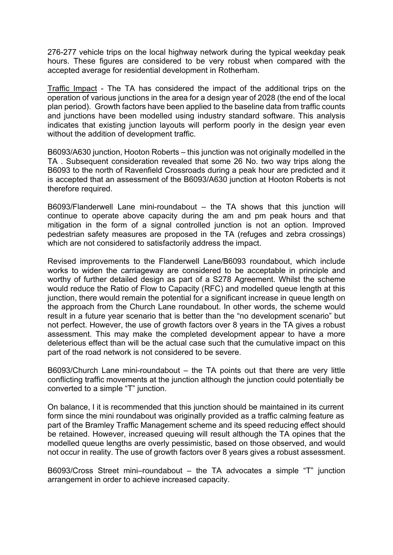276-277 vehicle trips on the local highway network during the typical weekday peak hours. These figures are considered to be very robust when compared with the accepted average for residential development in Rotherham.

Traffic Impact - The TA has considered the impact of the additional trips on the operation of various junctions in the area for a design year of 2028 (the end of the local plan period). Growth factors have been applied to the baseline data from traffic counts and junctions have been modelled using industry standard software. This analysis indicates that existing junction layouts will perform poorly in the design year even without the addition of development traffic.

B6093/A630 junction, Hooton Roberts – this junction was not originally modelled in the TA . Subsequent consideration revealed that some 26 No. two way trips along the B6093 to the north of Ravenfield Crossroads during a peak hour are predicted and it is accepted that an assessment of the B6093/A630 junction at Hooton Roberts is not therefore required.

B6093/Flanderwell Lane mini-roundabout – the TA shows that this junction will continue to operate above capacity during the am and pm peak hours and that mitigation in the form of a signal controlled junction is not an option. Improved pedestrian safety measures are proposed in the TA (refuges and zebra crossings) which are not considered to satisfactorily address the impact.

Revised improvements to the Flanderwell Lane/B6093 roundabout, which include works to widen the carriageway are considered to be acceptable in principle and worthy of further detailed design as part of a S278 Agreement. Whilst the scheme would reduce the Ratio of Flow to Capacity (RFC) and modelled queue length at this junction, there would remain the potential for a significant increase in queue length on the approach from the Church Lane roundabout. In other words, the scheme would result in a future year scenario that is better than the "no development scenario" but not perfect. However, the use of growth factors over 8 years in the TA gives a robust assessment. This may make the completed development appear to have a more deleterious effect than will be the actual case such that the cumulative impact on this part of the road network is not considered to be severe.

B6093/Church Lane mini-roundabout – the TA points out that there are very little conflicting traffic movements at the junction although the junction could potentially be converted to a simple "T" junction.

On balance, I it is recommended that this junction should be maintained in its current form since the mini roundabout was originally provided as a traffic calming feature as part of the Bramley Traffic Management scheme and its speed reducing effect should be retained. However, increased queuing will result although the TA opines that the modelled queue lengths are overly pessimistic, based on those observed, and would not occur in reality. The use of growth factors over 8 years gives a robust assessment.

B6093/Cross Street mini–roundabout – the TA advocates a simple "T" junction arrangement in order to achieve increased capacity.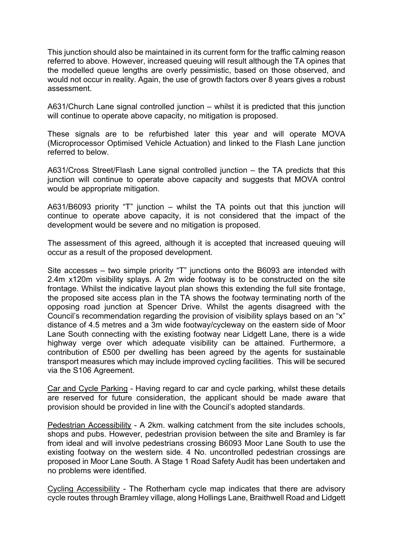This junction should also be maintained in its current form for the traffic calming reason referred to above. However, increased queuing will result although the TA opines that the modelled queue lengths are overly pessimistic, based on those observed, and would not occur in reality. Again, the use of growth factors over 8 years gives a robust assessment.

A631/Church Lane signal controlled junction – whilst it is predicted that this junction will continue to operate above capacity, no mitigation is proposed.

These signals are to be refurbished later this year and will operate MOVA (Microprocessor Optimised Vehicle Actuation) and linked to the Flash Lane junction referred to below.

A631/Cross Street/Flash Lane signal controlled junction – the TA predicts that this junction will continue to operate above capacity and suggests that MOVA control would be appropriate mitigation.

A631/B6093 priority "T" junction – whilst the TA points out that this junction will continue to operate above capacity, it is not considered that the impact of the development would be severe and no mitigation is proposed.

The assessment of this agreed, although it is accepted that increased queuing will occur as a result of the proposed development.

Site accesses – two simple priority "T" junctions onto the B6093 are intended with 2.4m x120m visibility splays. A 2m wide footway is to be constructed on the site frontage. Whilst the indicative layout plan shows this extending the full site frontage, the proposed site access plan in the TA shows the footway terminating north of the opposing road junction at Spencer Drive. Whilst the agents disagreed with the Council's recommendation regarding the provision of visibility splays based on an "x" distance of 4.5 metres and a 3m wide footway/cycleway on the eastern side of Moor Lane South connecting with the existing footway near Lidgett Lane, there is a wide highway verge over which adequate visibility can be attained. Furthermore, a contribution of £500 per dwelling has been agreed by the agents for sustainable transport measures which may include improved cycling facilities. This will be secured via the S106 Agreement.

Car and Cycle Parking - Having regard to car and cycle parking, whilst these details are reserved for future consideration, the applicant should be made aware that provision should be provided in line with the Council's adopted standards.

Pedestrian Accessibility - A 2km. walking catchment from the site includes schools, shops and pubs. However, pedestrian provision between the site and Bramley is far from ideal and will involve pedestrians crossing B6093 Moor Lane South to use the existing footway on the western side. 4 No. uncontrolled pedestrian crossings are proposed in Moor Lane South. A Stage 1 Road Safety Audit has been undertaken and no problems were identified.

Cycling Accessibility - The Rotherham cycle map indicates that there are advisory cycle routes through Bramley village, along Hollings Lane, Braithwell Road and Lidgett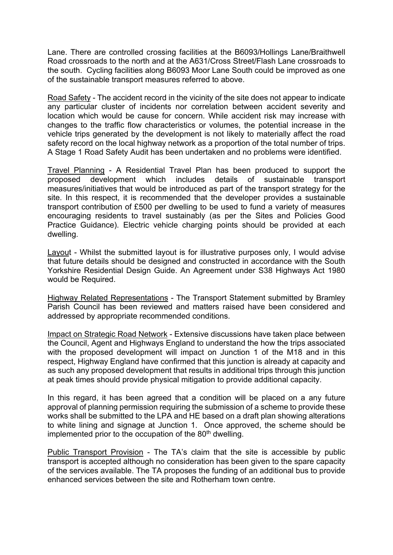Lane. There are controlled crossing facilities at the B6093/Hollings Lane/Braithwell Road crossroads to the north and at the A631/Cross Street/Flash Lane crossroads to the south. Cycling facilities along B6093 Moor Lane South could be improved as one of the sustainable transport measures referred to above.

Road Safety - The accident record in the vicinity of the site does not appear to indicate any particular cluster of incidents nor correlation between accident severity and location which would be cause for concern. While accident risk may increase with changes to the traffic flow characteristics or volumes, the potential increase in the vehicle trips generated by the development is not likely to materially affect the road safety record on the local highway network as a proportion of the total number of trips. A Stage 1 Road Safety Audit has been undertaken and no problems were identified.

Travel Planning - A Residential Travel Plan has been produced to support the proposed development which includes details of sustainable transport measures/initiatives that would be introduced as part of the transport strategy for the site. In this respect, it is recommended that the developer provides a sustainable transport contribution of £500 per dwelling to be used to fund a variety of measures encouraging residents to travel sustainably (as per the Sites and Policies Good Practice Guidance). Electric vehicle charging points should be provided at each dwelling.

Layout - Whilst the submitted layout is for illustrative purposes only, I would advise that future details should be designed and constructed in accordance with the South Yorkshire Residential Design Guide. An Agreement under S38 Highways Act 1980 would be Required.

Highway Related Representations - The Transport Statement submitted by Bramley Parish Council has been reviewed and matters raised have been considered and addressed by appropriate recommended conditions.

Impact on Strategic Road Network - Extensive discussions have taken place between the Council, Agent and Highways England to understand the how the trips associated with the proposed development will impact on Junction 1 of the M18 and in this respect, Highway England have confirmed that this junction is already at capacity and as such any proposed development that results in additional trips through this junction at peak times should provide physical mitigation to provide additional capacity.

In this regard, it has been agreed that a condition will be placed on a any future approval of planning permission requiring the submission of a scheme to provide these works shall be submitted to the LPA and HE based on a draft plan showing alterations to white lining and signage at Junction 1. Once approved, the scheme should be implemented prior to the occupation of the 80<sup>th</sup> dwelling.

Public Transport Provision - The TA's claim that the site is accessible by public transport is accepted although no consideration has been given to the spare capacity of the services available. The TA proposes the funding of an additional bus to provide enhanced services between the site and Rotherham town centre.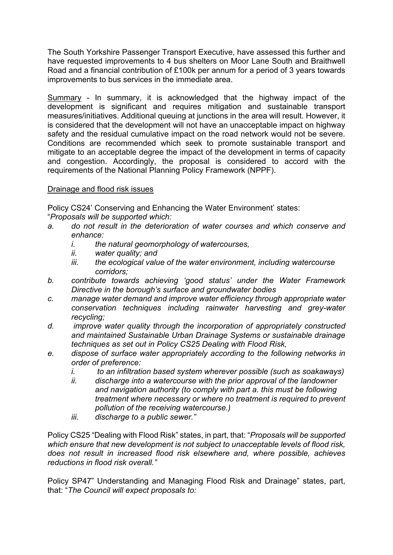The South Yorkshire Passenger Transport Executive, have assessed this further and have requested improvements to 4 bus shelters on Moor Lane South and Braithwell Road and a financial contribution of £100k per annum for a period of 3 years towards improvements to bus services in the immediate area.

Summary - In summary, it is acknowledged that the highway impact of the development is significant and requires mitigation and sustainable transport measures/initiatives. Additional queuing at junctions in the area will result. However, it is considered that the development will not have an unacceptable impact on highway safety and the residual cumulative impact on the road network would not be severe. Conditions are recommended which seek to promote sustainable transport and mitigate to an acceptable degree the impact of the development in terms of capacity and congestion. Accordingly, the proposal is considered to accord with the requirements of the National Planning Policy Framework (NPPF).

# Drainage and flood risk issues

Policy CS24' Conserving and Enhancing the Water Environment' states: "*Proposals will be supported which:* 

- *a. do not result in the deterioration of water courses and which conserve and enhance:* 
	- *i. the natural geomorphology of watercourses,*
	- *ii. water quality; and*
	- *iii. the ecological value of the water environment, including watercourse corridors;*
- *b. contribute towards achieving 'good status' under the Water Framework Directive in the borough's surface and groundwater bodies*
- *c. manage water demand and improve water efficiency through appropriate water conservation techniques including rainwater harvesting and grey-water recycling;*
- *d. improve water quality through the incorporation of appropriately constructed and maintained Sustainable Urban Drainage Systems or sustainable drainage techniques as set out in Policy CS25 Dealing with Flood Risk,*
- *e. dispose of surface water appropriately according to the following networks in order of preference:* 
	- *i. to an infiltration based system wherever possible (such as soakaways)*
	- *ii. discharge into a watercourse with the prior approval of the landowner and navigation authority (to comply with part a. this must be following treatment where necessary or where no treatment is required to prevent pollution of the receiving watercourse.)*
	- *iii. discharge to a public sewer."*

Policy CS25 "Dealing with Flood Risk" states, in part, that: "*Proposals will be supported which ensure that new development is not subject to unacceptable levels of flood risk, does not result in increased flood risk elsewhere and, where possible, achieves reductions in flood risk overall."* 

Policy SP47" Understanding and Managing Flood Risk and Drainage" states, part, that: "*The Council will expect proposals to:*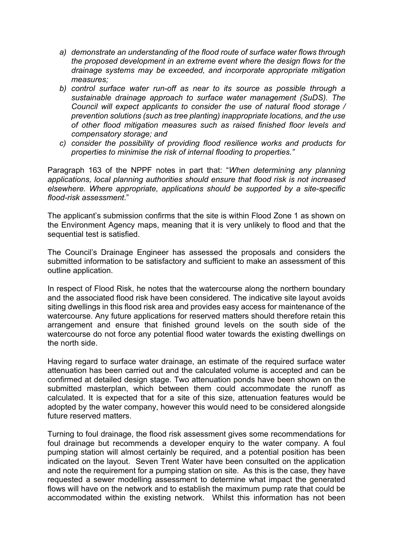- *a) demonstrate an understanding of the flood route of surface water flows through the proposed development in an extreme event where the design flows for the drainage systems may be exceeded, and incorporate appropriate mitigation measures;*
- *b) control surface water run-off as near to its source as possible through a sustainable drainage approach to surface water management (SuDS). The Council will expect applicants to consider the use of natural flood storage / prevention solutions (such as tree planting) inappropriate locations, and the use of other flood mitigation measures such as raised finished floor levels and compensatory storage; and*
- *c) consider the possibility of providing flood resilience works and products for properties to minimise the risk of internal flooding to properties."*

Paragraph 163 of the NPPF notes in part that: "*When determining any planning applications, local planning authorities should ensure that flood risk is not increased elsewhere. Where appropriate, applications should be supported by a site-specific flood-risk assessment*."

The applicant's submission confirms that the site is within Flood Zone 1 as shown on the Environment Agency maps, meaning that it is very unlikely to flood and that the sequential test is satisfied.

The Council's Drainage Engineer has assessed the proposals and considers the submitted information to be satisfactory and sufficient to make an assessment of this outline application.

In respect of Flood Risk, he notes that the watercourse along the northern boundary and the associated flood risk have been considered. The indicative site layout avoids siting dwellings in this flood risk area and provides easy access for maintenance of the watercourse. Any future applications for reserved matters should therefore retain this arrangement and ensure that finished ground levels on the south side of the watercourse do not force any potential flood water towards the existing dwellings on the north side.

Having regard to surface water drainage, an estimate of the required surface water attenuation has been carried out and the calculated volume is accepted and can be confirmed at detailed design stage. Two attenuation ponds have been shown on the submitted masterplan, which between them could accommodate the runoff as calculated. It is expected that for a site of this size, attenuation features would be adopted by the water company, however this would need to be considered alongside future reserved matters.

Turning to foul drainage, the flood risk assessment gives some recommendations for foul drainage but recommends a developer enquiry to the water company. A foul pumping station will almost certainly be required, and a potential position has been indicated on the layout. Seven Trent Water have been consulted on the application and note the requirement for a pumping station on site. As this is the case, they have requested a sewer modelling assessment to determine what impact the generated flows will have on the network and to establish the maximum pump rate that could be accommodated within the existing network. Whilst this information has not been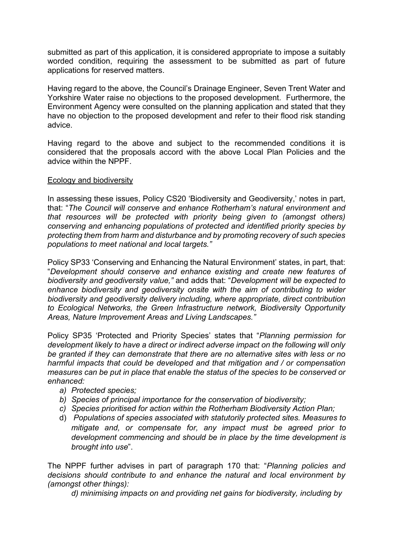submitted as part of this application, it is considered appropriate to impose a suitably worded condition, requiring the assessment to be submitted as part of future applications for reserved matters.

Having regard to the above, the Council's Drainage Engineer, Seven Trent Water and Yorkshire Water raise no objections to the proposed development. Furthermore, the Environment Agency were consulted on the planning application and stated that they have no objection to the proposed development and refer to their flood risk standing advice.

Having regard to the above and subject to the recommended conditions it is considered that the proposals accord with the above Local Plan Policies and the advice within the NPPF.

### Ecology and biodiversity

In assessing these issues, Policy CS20 'Biodiversity and Geodiversity,' notes in part, that: "*The Council will conserve and enhance Rotherham's natural environment and that resources will be protected with priority being given to (amongst others) conserving and enhancing populations of protected and identified priority species by protecting them from harm and disturbance and by promoting recovery of such species populations to meet national and local targets."* 

Policy SP33 'Conserving and Enhancing the Natural Environment' states, in part, that: "*Development should conserve and enhance existing and create new features of biodiversity and geodiversity value,"* and adds that: "*Development will be expected to enhance biodiversity and geodiversity onsite with the aim of contributing to wider biodiversity and geodiversity delivery including, where appropriate, direct contribution to Ecological Networks, the Green Infrastructure network, Biodiversity Opportunity Areas, Nature Improvement Areas and Living Landscapes."*

Policy SP35 'Protected and Priority Species' states that "*Planning permission for development likely to have a direct or indirect adverse impact on the following will only be granted if they can demonstrate that there are no alternative sites with less or no harmful impacts that could be developed and that mitigation and / or compensation measures can be put in place that enable the status of the species to be conserved or enhanced:* 

- *a) Protected species;*
- *b) Species of principal importance for the conservation of biodiversity;*
- *c) Species prioritised for action within the Rotherham Biodiversity Action Plan;*
- d) *Populations of species associated with statutorily protected sites. Measures to mitigate and, or compensate for, any impact must be agreed prior to development commencing and should be in place by the time development is brought into use*".

The NPPF further advises in part of paragraph 170 that: "*Planning policies and decisions should contribute to and enhance the natural and local environment by (amongst other things):* 

*d) minimising impacts on and providing net gains for biodiversity, including by*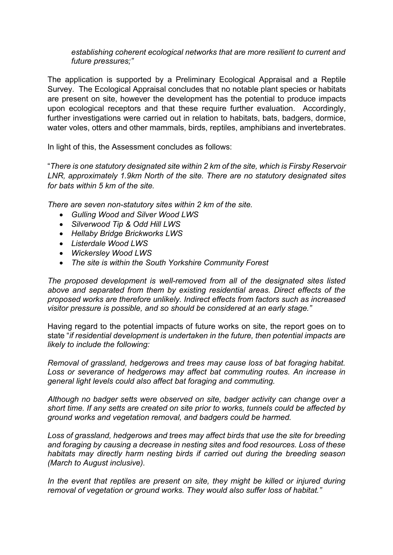*establishing coherent ecological networks that are more resilient to current and future pressures;"* 

The application is supported by a Preliminary Ecological Appraisal and a Reptile Survey. The Ecological Appraisal concludes that no notable plant species or habitats are present on site, however the development has the potential to produce impacts upon ecological receptors and that these require further evaluation. Accordingly, further investigations were carried out in relation to habitats, bats, badgers, dormice, water voles, otters and other mammals, birds, reptiles, amphibians and invertebrates.

In light of this, the Assessment concludes as follows:

"*There is one statutory designated site within 2 km of the site, which is Firsby Reservoir LNR, approximately 1.9km North of the site. There are no statutory designated sites for bats within 5 km of the site.* 

*There are seven non-statutory sites within 2 km of the site.* 

- *Gulling Wood and Silver Wood LWS*
- *Silverwood Tip & Odd Hill LWS*
- *Hellaby Bridge Brickworks LWS*
- *Listerdale Wood LWS*
- *Wickersley Wood LWS*
- *The site is within the South Yorkshire Community Forest*

*The proposed development is well-removed from all of the designated sites listed above and separated from them by existing residential areas. Direct effects of the proposed works are therefore unlikely. Indirect effects from factors such as increased visitor pressure is possible, and so should be considered at an early stage."* 

Having regard to the potential impacts of future works on site, the report goes on to state "*if residential development is undertaken in the future, then potential impacts are likely to include the following:* 

*Removal of grassland, hedgerows and trees may cause loss of bat foraging habitat. Loss or severance of hedgerows may affect bat commuting routes. An increase in general light levels could also affect bat foraging and commuting.* 

*Although no badger setts were observed on site, badger activity can change over a short time. If any setts are created on site prior to works, tunnels could be affected by ground works and vegetation removal, and badgers could be harmed.* 

*Loss of grassland, hedgerows and trees may affect birds that use the site for breeding and foraging by causing a decrease in nesting sites and food resources. Loss of these habitats may directly harm nesting birds if carried out during the breeding season (March to August inclusive).* 

In the event that reptiles are present on site, they might be killed or injured during *removal of vegetation or ground works. They would also suffer loss of habitat."*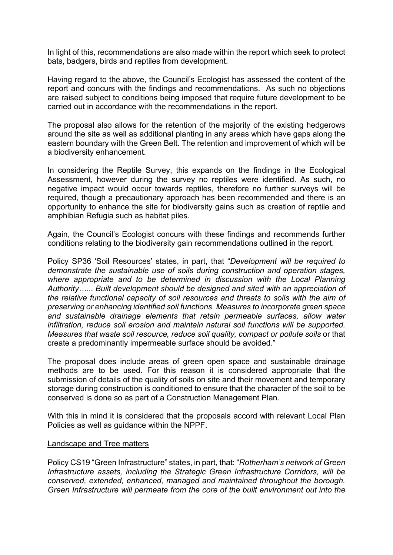In light of this, recommendations are also made within the report which seek to protect bats, badgers, birds and reptiles from development.

Having regard to the above, the Council's Ecologist has assessed the content of the report and concurs with the findings and recommendations. As such no objections are raised subject to conditions being imposed that require future development to be carried out in accordance with the recommendations in the report.

The proposal also allows for the retention of the majority of the existing hedgerows around the site as well as additional planting in any areas which have gaps along the eastern boundary with the Green Belt. The retention and improvement of which will be a biodiversity enhancement.

In considering the Reptile Survey, this expands on the findings in the Ecological Assessment, however during the survey no reptiles were identified. As such, no negative impact would occur towards reptiles, therefore no further surveys will be required, though a precautionary approach has been recommended and there is an opportunity to enhance the site for biodiversity gains such as creation of reptile and amphibian Refugia such as habitat piles.

Again, the Council's Ecologist concurs with these findings and recommends further conditions relating to the biodiversity gain recommendations outlined in the report.

Policy SP36 'Soil Resources' states, in part, that "*Development will be required to demonstrate the sustainable use of soils during construction and operation stages,*  where appropriate and to be determined in discussion with the Local Planning *Authority…... Built development should be designed and sited with an appreciation of the relative functional capacity of soil resources and threats to soils with the aim of preserving or enhancing identified soil functions. Measures to incorporate green space and sustainable drainage elements that retain permeable surfaces, allow water infiltration, reduce soil erosion and maintain natural soil functions will be supported. Measures that waste soil resource, reduce soil quality, compact or pollute soils or that* create a predominantly impermeable surface should be avoided."

The proposal does include areas of green open space and sustainable drainage methods are to be used. For this reason it is considered appropriate that the submission of details of the quality of soils on site and their movement and temporary storage during construction is conditioned to ensure that the character of the soil to be conserved is done so as part of a Construction Management Plan.

With this in mind it is considered that the proposals accord with relevant Local Plan Policies as well as guidance within the NPPF.

### Landscape and Tree matters

Policy CS19 "Green Infrastructure" states, in part, that: "*Rotherham's network of Green Infrastructure assets, including the Strategic Green Infrastructure Corridors, will be conserved, extended, enhanced, managed and maintained throughout the borough. Green Infrastructure will permeate from the core of the built environment out into the*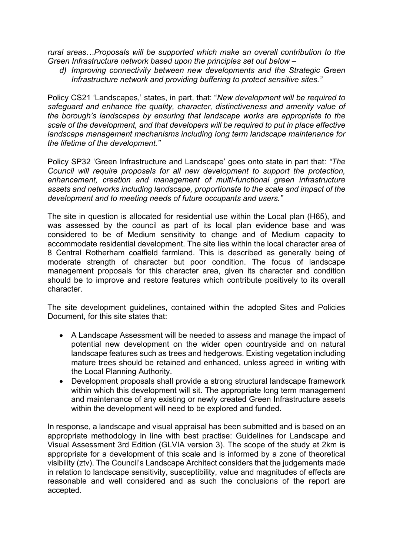*rural areas…Proposals will be supported which make an overall contribution to the Green Infrastructure network based upon the principles set out below –* 

*d) Improving connectivity between new developments and the Strategic Green Infrastructure network and providing buffering to protect sensitive sites."* 

Policy CS21 'Landscapes,' states, in part, that: "*New development will be required to safeguard and enhance the quality, character, distinctiveness and amenity value of the borough's landscapes by ensuring that landscape works are appropriate to the scale of the development, and that developers will be required to put in place effective landscape management mechanisms including long term landscape maintenance for the lifetime of the development."* 

Policy SP32 'Green Infrastructure and Landscape' goes onto state in part that: *"The Council will require proposals for all new development to support the protection, enhancement, creation and management of multi-functional green infrastructure assets and networks including landscape, proportionate to the scale and impact of the development and to meeting needs of future occupants and users."* 

The site in question is allocated for residential use within the Local plan (H65), and was assessed by the council as part of its local plan evidence base and was considered to be of Medium sensitivity to change and of Medium capacity to accommodate residential development. The site lies within the local character area of 8 Central Rotherham coalfield farmland. This is described as generally being of moderate strength of character but poor condition. The focus of landscape management proposals for this character area, given its character and condition should be to improve and restore features which contribute positively to its overall character.

The site development guidelines, contained within the adopted Sites and Policies Document, for this site states that:

- A Landscape Assessment will be needed to assess and manage the impact of potential new development on the wider open countryside and on natural landscape features such as trees and hedgerows. Existing vegetation including mature trees should be retained and enhanced, unless agreed in writing with the Local Planning Authority.
- Development proposals shall provide a strong structural landscape framework within which this development will sit. The appropriate long term management and maintenance of any existing or newly created Green Infrastructure assets within the development will need to be explored and funded.

In response, a landscape and visual appraisal has been submitted and is based on an appropriate methodology in line with best practise: Guidelines for Landscape and Visual Assessment 3rd Edition (GLVIA version 3). The scope of the study at 2km is appropriate for a development of this scale and is informed by a zone of theoretical visibility (ztv). The Council's Landscape Architect considers that the judgements made in relation to landscape sensitivity, susceptibility, value and magnitudes of effects are reasonable and well considered and as such the conclusions of the report are accepted.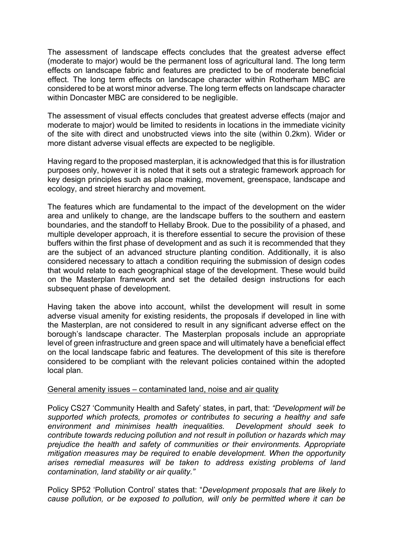The assessment of landscape effects concludes that the greatest adverse effect (moderate to major) would be the permanent loss of agricultural land. The long term effects on landscape fabric and features are predicted to be of moderate beneficial effect. The long term effects on landscape character within Rotherham MBC are considered to be at worst minor adverse. The long term effects on landscape character within Doncaster MBC are considered to be negligible.

The assessment of visual effects concludes that greatest adverse effects (major and moderate to major) would be limited to residents in locations in the immediate vicinity of the site with direct and unobstructed views into the site (within 0.2km). Wider or more distant adverse visual effects are expected to be negligible.

Having regard to the proposed masterplan, it is acknowledged that this is for illustration purposes only, however it is noted that it sets out a strategic framework approach for key design principles such as place making, movement, greenspace, landscape and ecology, and street hierarchy and movement.

The features which are fundamental to the impact of the development on the wider area and unlikely to change, are the landscape buffers to the southern and eastern boundaries, and the standoff to Hellaby Brook. Due to the possibility of a phased, and multiple developer approach, it is therefore essential to secure the provision of these buffers within the first phase of development and as such it is recommended that they are the subject of an advanced structure planting condition. Additionally, it is also considered necessary to attach a condition requiring the submission of design codes that would relate to each geographical stage of the development. These would build on the Masterplan framework and set the detailed design instructions for each subsequent phase of development.

Having taken the above into account, whilst the development will result in some adverse visual amenity for existing residents, the proposals if developed in line with the Masterplan, are not considered to result in any significant adverse effect on the borough's landscape character. The Masterplan proposals include an appropriate level of green infrastructure and green space and will ultimately have a beneficial effect on the local landscape fabric and features. The development of this site is therefore considered to be compliant with the relevant policies contained within the adopted local plan.

# General amenity issues – contaminated land, noise and air quality

Policy CS27 'Community Health and Safety' states, in part, that: *"Development will be supported which protects, promotes or contributes to securing a healthy and safe environment and minimises health inequalities. Development should seek to contribute towards reducing pollution and not result in pollution or hazards which may prejudice the health and safety of communities or their environments. Appropriate mitigation measures may be required to enable development. When the opportunity arises remedial measures will be taken to address existing problems of land contamination, land stability or air quality."* 

Policy SP52 'Pollution Control' states that: "*Development proposals that are likely to cause pollution, or be exposed to pollution, will only be permitted where it can be*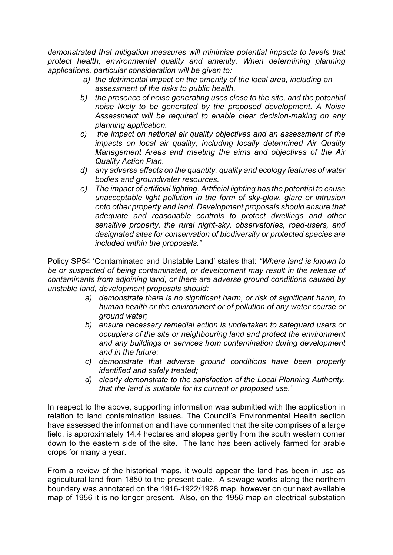*demonstrated that mitigation measures will minimise potential impacts to levels that protect health, environmental quality and amenity. When determining planning applications, particular consideration will be given to:* 

- *a) the detrimental impact on the amenity of the local area, including an assessment of the risks to public health.*
- *b) the presence of noise generating uses close to the site, and the potential noise likely to be generated by the proposed development. A Noise Assessment will be required to enable clear decision-making on any planning application.*
- *c) the impact on national air quality objectives and an assessment of the impacts on local air quality; including locally determined Air Quality Management Areas and meeting the aims and objectives of the Air Quality Action Plan.*
- *d) any adverse effects on the quantity, quality and ecology features of water bodies and groundwater resources.*
- *e) The impact of artificial lighting. Artificial lighting has the potential to cause unacceptable light pollution in the form of sky-glow, glare or intrusion onto other property and land. Development proposals should ensure that adequate and reasonable controls to protect dwellings and other sensitive property, the rural night-sky, observatories, road-users, and designated sites for conservation of biodiversity or protected species are included within the proposals."*

Policy SP54 'Contaminated and Unstable Land' states that: *"Where land is known to be or suspected of being contaminated, or development may result in the release of contaminants from adjoining land, or there are adverse ground conditions caused by unstable land, development proposals should:* 

- *a) demonstrate there is no significant harm, or risk of significant harm, to human health or the environment or of pollution of any water course or ground water;*
- *b) ensure necessary remedial action is undertaken to safeguard users or occupiers of the site or neighbouring land and protect the environment and any buildings or services from contamination during development and in the future;*
- *c) demonstrate that adverse ground conditions have been properly identified and safely treated;*
- *d) clearly demonstrate to the satisfaction of the Local Planning Authority, that the land is suitable for its current or proposed use."*

In respect to the above, supporting information was submitted with the application in relation to land contamination issues. The Council's Environmental Health section have assessed the information and have commented that the site comprises of a large field, is approximately 14.4 hectares and slopes gently from the south western corner down to the eastern side of the site. The land has been actively farmed for arable crops for many a year.

From a review of the historical maps, it would appear the land has been in use as agricultural land from 1850 to the present date. A sewage works along the northern boundary was annotated on the 1916-1922/1928 map, however on our next available map of 1956 it is no longer present. Also, on the 1956 map an electrical substation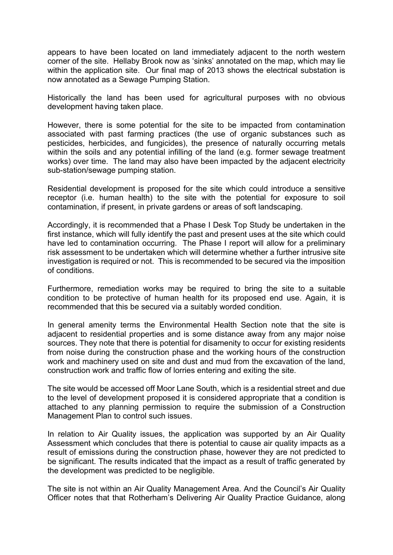appears to have been located on land immediately adjacent to the north western corner of the site. Hellaby Brook now as 'sinks' annotated on the map, which may lie within the application site. Our final map of 2013 shows the electrical substation is now annotated as a Sewage Pumping Station.

Historically the land has been used for agricultural purposes with no obvious development having taken place.

However, there is some potential for the site to be impacted from contamination associated with past farming practices (the use of organic substances such as pesticides, herbicides, and fungicides), the presence of naturally occurring metals within the soils and any potential infilling of the land (e.g. former sewage treatment works) over time. The land may also have been impacted by the adjacent electricity sub-station/sewage pumping station.

Residential development is proposed for the site which could introduce a sensitive receptor (i.e. human health) to the site with the potential for exposure to soil contamination, if present, in private gardens or areas of soft landscaping.

Accordingly, it is recommended that a Phase I Desk Top Study be undertaken in the first instance, which will fully identify the past and present uses at the site which could have led to contamination occurring. The Phase I report will allow for a preliminary risk assessment to be undertaken which will determine whether a further intrusive site investigation is required or not. This is recommended to be secured via the imposition of conditions.

Furthermore, remediation works may be required to bring the site to a suitable condition to be protective of human health for its proposed end use. Again, it is recommended that this be secured via a suitably worded condition.

In general amenity terms the Environmental Health Section note that the site is adjacent to residential properties and is some distance away from any major noise sources. They note that there is potential for disamenity to occur for existing residents from noise during the construction phase and the working hours of the construction work and machinery used on site and dust and mud from the excavation of the land, construction work and traffic flow of lorries entering and exiting the site.

The site would be accessed off Moor Lane South, which is a residential street and due to the level of development proposed it is considered appropriate that a condition is attached to any planning permission to require the submission of a Construction Management Plan to control such issues.

In relation to Air Quality issues, the application was supported by an Air Quality Assessment which concludes that there is potential to cause air quality impacts as a result of emissions during the construction phase, however they are not predicted to be significant. The results indicated that the impact as a result of traffic generated by the development was predicted to be negligible.

The site is not within an Air Quality Management Area. And the Council's Air Quality Officer notes that that Rotherham's Delivering Air Quality Practice Guidance, along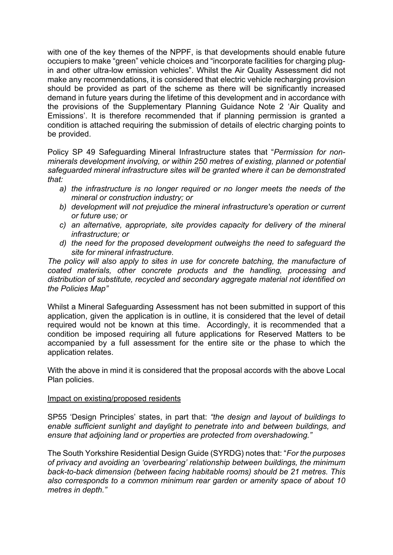with one of the key themes of the NPPF, is that developments should enable future occupiers to make "green" vehicle choices and "incorporate facilities for charging plugin and other ultra-low emission vehicles". Whilst the Air Quality Assessment did not make any recommendations, it is considered that electric vehicle recharging provision should be provided as part of the scheme as there will be significantly increased demand in future years during the lifetime of this development and in accordance with the provisions of the Supplementary Planning Guidance Note 2 'Air Quality and Emissions'. It is therefore recommended that if planning permission is granted a condition is attached requiring the submission of details of electric charging points to be provided.

Policy SP 49 Safeguarding Mineral Infrastructure states that "*Permission for nonminerals development involving, or within 250 metres of existing, planned or potential safeguarded mineral infrastructure sites will be granted where it can be demonstrated that:* 

- *a)* the infrastructure is no longer required or no longer meets the needs of the *mineral or construction industry; or*
- *b) development will not prejudice the mineral infrastructure's operation or current or future use; or*
- *c) an alternative, appropriate, site provides capacity for delivery of the mineral infrastructure; or*
- *d) the need for the proposed development outweighs the need to safeguard the site for mineral infrastructure.*

*The policy will also apply to sites in use for concrete batching, the manufacture of coated materials, other concrete products and the handling, processing and distribution of substitute, recycled and secondary aggregate material not identified on the Policies Map"* 

Whilst a Mineral Safeguarding Assessment has not been submitted in support of this application, given the application is in outline, it is considered that the level of detail required would not be known at this time. Accordingly, it is recommended that a condition be imposed requiring all future applications for Reserved Matters to be accompanied by a full assessment for the entire site or the phase to which the application relates.

With the above in mind it is considered that the proposal accords with the above Local Plan policies.

# Impact on existing/proposed residents

SP55 'Design Principles' states, in part that: *"the design and layout of buildings to enable sufficient sunlight and daylight to penetrate into and between buildings, and ensure that adjoining land or properties are protected from overshadowing."* 

The South Yorkshire Residential Design Guide (SYRDG) notes that: "*For the purposes of privacy and avoiding an 'overbearing' relationship between buildings, the minimum back-to-back dimension (between facing habitable rooms) should be 21 metres. This also corresponds to a common minimum rear garden or amenity space of about 10 metres in depth."*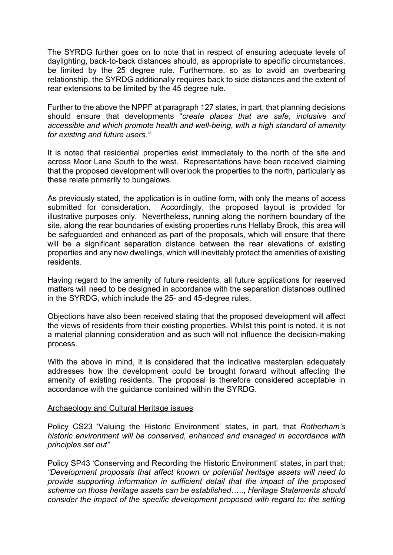The SYRDG further goes on to note that in respect of ensuring adequate levels of daylighting, back-to-back distances should, as appropriate to specific circumstances, be limited by the 25 degree rule. Furthermore, so as to avoid an overbearing relationship, the SYRDG additionally requires back to side distances and the extent of rear extensions to be limited by the 45 degree rule.

Further to the above the NPPF at paragraph 127 states, in part, that planning decisions should ensure that developments "*create places that are safe, inclusive and accessible and which promote health and well-being, with a high standard of amenity for existing and future users."*

It is noted that residential properties exist immediately to the north of the site and across Moor Lane South to the west. Representations have been received claiming that the proposed development will overlook the properties to the north, particularly as these relate primarily to bungalows.

As previously stated, the application is in outline form, with only the means of access submitted for consideration. Accordingly, the proposed layout is provided for illustrative purposes only. Nevertheless, running along the northern boundary of the site, along the rear boundaries of existing properties runs Hellaby Brook, this area will be safeguarded and enhanced as part of the proposals, which will ensure that there will be a significant separation distance between the rear elevations of existing properties and any new dwellings, which will inevitably protect the amenities of existing residents.

Having regard to the amenity of future residents, all future applications for reserved matters will need to be designed in accordance with the separation distances outlined in the SYRDG, which include the 25- and 45-degree rules.

Objections have also been received stating that the proposed development will affect the views of residents from their existing properties. Whilst this point is noted, it is not a material planning consideration and as such will not influence the decision-making process.

With the above in mind, it is considered that the indicative masterplan adequately addresses how the development could be brought forward without affecting the amenity of existing residents. The proposal is therefore considered acceptable in accordance with the guidance contained within the SYRDG.

### Archaeology and Cultural Heritage issues

Policy CS23 'Valuing the Historic Environment' states, in part, that *Rotherham's historic environment will be conserved, enhanced and managed in accordance with principles set out"* 

Policy SP43 'Conserving and Recording the Historic Environment' states, in part that: *"Development proposals that affect known or potential heritage assets will need to provide supporting information in sufficient detail that the impact of the proposed scheme on those heritage assets can be established*….., *Heritage Statements should consider the impact of the specific development proposed with regard to: the setting*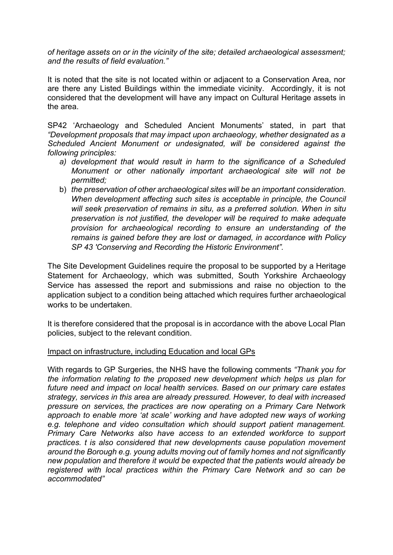*of heritage assets on or in the vicinity of the site; detailed archaeological assessment; and the results of field evaluation."* 

It is noted that the site is not located within or adjacent to a Conservation Area, nor are there any Listed Buildings within the immediate vicinity. Accordingly, it is not considered that the development will have any impact on Cultural Heritage assets in the area.

SP42 'Archaeology and Scheduled Ancient Monuments' stated, in part that *"Development proposals that may impact upon archaeology, whether designated as a Scheduled Ancient Monument or undesignated, will be considered against the following principles:* 

- *a) development that would result in harm to the significance of a Scheduled Monument or other nationally important archaeological site will not be permitted;*
- b) *the preservation of other archaeological sites will be an important consideration. When development affecting such sites is acceptable in principle, the Council will seek preservation of remains in situ, as a preferred solution. When in situ preservation is not justified, the developer will be required to make adequate provision for archaeological recording to ensure an understanding of the remains is gained before they are lost or damaged, in accordance with Policy SP 43 'Conserving and Recording the Historic Environment".*

The Site Development Guidelines require the proposal to be supported by a Heritage Statement for Archaeology, which was submitted, South Yorkshire Archaeology Service has assessed the report and submissions and raise no objection to the application subject to a condition being attached which requires further archaeological works to be undertaken.

It is therefore considered that the proposal is in accordance with the above Local Plan policies, subject to the relevant condition.

# Impact on infrastructure, including Education and local GPs

With regards to GP Surgeries, the NHS have the following comments *"Thank you for the information relating to the proposed new development which helps us plan for future need and impact on local health services. Based on our primary care estates strategy, services in this area are already pressured. However, to deal with increased pressure on services, the practices are now operating on a Primary Care Network*  approach to enable more 'at scale' working and have adopted new ways of working *e.g. telephone and video consultation which should support patient management. Primary Care Networks also have access to an extended workforce to support practices. t is also considered that new developments cause population movement around the Borough e.g. young adults moving out of family homes and not significantly new population and therefore it would be expected that the patients would already be registered with local practices within the Primary Care Network and so can be accommodated"*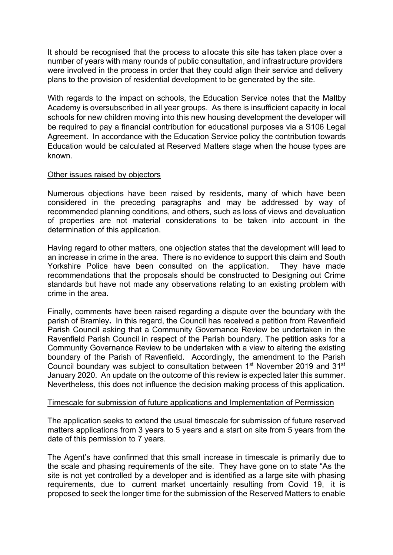It should be recognised that the process to allocate this site has taken place over a number of years with many rounds of public consultation, and infrastructure providers were involved in the process in order that they could align their service and delivery plans to the provision of residential development to be generated by the site.

With regards to the impact on schools, the Education Service notes that the Maltby Academy is oversubscribed in all year groups. As there is insufficient capacity in local schools for new children moving into this new housing development the developer will be required to pay a financial contribution for educational purposes via a S106 Legal Agreement. In accordance with the Education Service policy the contribution towards Education would be calculated at Reserved Matters stage when the house types are known.

### Other issues raised by objectors

Numerous objections have been raised by residents, many of which have been considered in the preceding paragraphs and may be addressed by way of recommended planning conditions, and others, such as loss of views and devaluation of properties are not material considerations to be taken into account in the determination of this application.

Having regard to other matters, one objection states that the development will lead to an increase in crime in the area. There is no evidence to support this claim and South Yorkshire Police have been consulted on the application. They have made recommendations that the proposals should be constructed to Designing out Crime standards but have not made any observations relating to an existing problem with crime in the area.

Finally, comments have been raised regarding a dispute over the boundary with the parish of Bramley**.** In this regard, the Council has received a petition from Ravenfield Parish Council asking that a Community Governance Review be undertaken in the Ravenfield Parish Council in respect of the Parish boundary. The petition asks for a Community Governance Review to be undertaken with a view to altering the existing boundary of the Parish of Ravenfield. Accordingly, the amendment to the Parish Council boundary was subject to consultation between 1st November 2019 and 31st January 2020. An update on the outcome of this review is expected later this summer. Nevertheless, this does not influence the decision making process of this application.

### Timescale for submission of future applications and Implementation of Permission

The application seeks to extend the usual timescale for submission of future reserved matters applications from 3 years to 5 years and a start on site from 5 years from the date of this permission to 7 years.

The Agent's have confirmed that this small increase in timescale is primarily due to the scale and phasing requirements of the site. They have gone on to state "As the site is not yet controlled by a developer and is identified as a large site with phasing requirements, due to current market uncertainly resulting from Covid 19, it is proposed to seek the longer time for the submission of the Reserved Matters to enable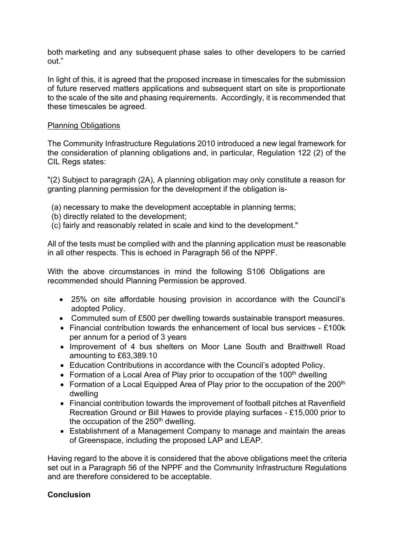both marketing and any subsequent phase sales to other developers to be carried out."

In light of this, it is agreed that the proposed increase in timescales for the submission of future reserved matters applications and subsequent start on site is proportionate to the scale of the site and phasing requirements. Accordingly, it is recommended that these timescales be agreed.

### Planning Obligations

The Community Infrastructure Regulations 2010 introduced a new legal framework for the consideration of planning obligations and, in particular, Regulation 122 (2) of the CIL Regs states:

"(2) Subject to paragraph (2A), A planning obligation may only constitute a reason for granting planning permission for the development if the obligation is-

- (a) necessary to make the development acceptable in planning terms;
- (b) directly related to the development;
- (c) fairly and reasonably related in scale and kind to the development."

All of the tests must be complied with and the planning application must be reasonable in all other respects. This is echoed in Paragraph 56 of the NPPF.

With the above circumstances in mind the following S106 Obligations are recommended should Planning Permission be approved.

- 25% on site affordable housing provision in accordance with the Council's adopted Policy.
- Commuted sum of £500 per dwelling towards sustainable transport measures.
- Financial contribution towards the enhancement of local bus services £100k per annum for a period of 3 years
- Improvement of 4 bus shelters on Moor Lane South and Braithwell Road amounting to £63,389.10
- Education Contributions in accordance with the Council's adopted Policy.
- Formation of a Local Area of Play prior to occupation of the 100<sup>th</sup> dwelling
- Formation of a Local Equipped Area of Play prior to the occupation of the 200<sup>th</sup> dwelling
- Financial contribution towards the improvement of football pitches at Ravenfield Recreation Ground or Bill Hawes to provide playing surfaces - £15,000 prior to the occupation of the  $250<sup>th</sup>$  dwelling.
- Establishment of a Management Company to manage and maintain the areas of Greenspace, including the proposed LAP and LEAP.

Having regard to the above it is considered that the above obligations meet the criteria set out in a Paragraph 56 of the NPPF and the Community Infrastructure Regulations and are therefore considered to be acceptable.

# **Conclusion**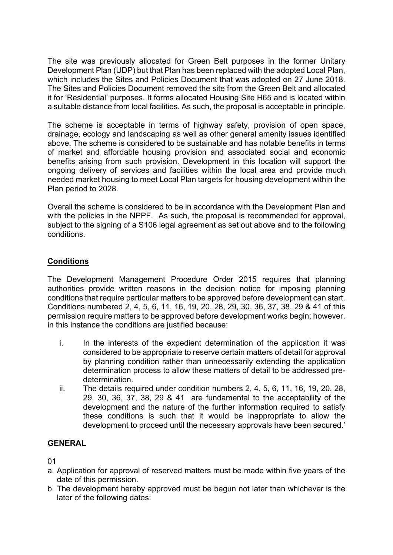The site was previously allocated for Green Belt purposes in the former Unitary Development Plan (UDP) but that Plan has been replaced with the adopted Local Plan, which includes the Sites and Policies Document that was adopted on 27 June 2018. The Sites and Policies Document removed the site from the Green Belt and allocated it for 'Residential' purposes. It forms allocated Housing Site H65 and is located within a suitable distance from local facilities. As such, the proposal is acceptable in principle.

The scheme is acceptable in terms of highway safety, provision of open space, drainage, ecology and landscaping as well as other general amenity issues identified above. The scheme is considered to be sustainable and has notable benefits in terms of market and affordable housing provision and associated social and economic benefits arising from such provision. Development in this location will support the ongoing delivery of services and facilities within the local area and provide much needed market housing to meet Local Plan targets for housing development within the Plan period to 2028.

Overall the scheme is considered to be in accordance with the Development Plan and with the policies in the NPPF. As such, the proposal is recommended for approval. subject to the signing of a S106 legal agreement as set out above and to the following conditions.

# **Conditions**

The Development Management Procedure Order 2015 requires that planning authorities provide written reasons in the decision notice for imposing planning conditions that require particular matters to be approved before development can start. Conditions numbered 2, 4, 5, 6, 11, 16, 19, 20, 28, 29, 30, 36, 37, 38, 29 & 41 of this permission require matters to be approved before development works begin; however, in this instance the conditions are justified because:

- i. In the interests of the expedient determination of the application it was considered to be appropriate to reserve certain matters of detail for approval by planning condition rather than unnecessarily extending the application determination process to allow these matters of detail to be addressed predetermination.
- ii. The details required under condition numbers 2, 4, 5, 6, 11, 16, 19, 20, 28, 29, 30, 36, 37, 38, 29 & 41 are fundamental to the acceptability of the development and the nature of the further information required to satisfy these conditions is such that it would be inappropriate to allow the development to proceed until the necessary approvals have been secured.'

# **GENERAL**

01

- a. Application for approval of reserved matters must be made within five years of the date of this permission.
- b. The development hereby approved must be begun not later than whichever is the later of the following dates: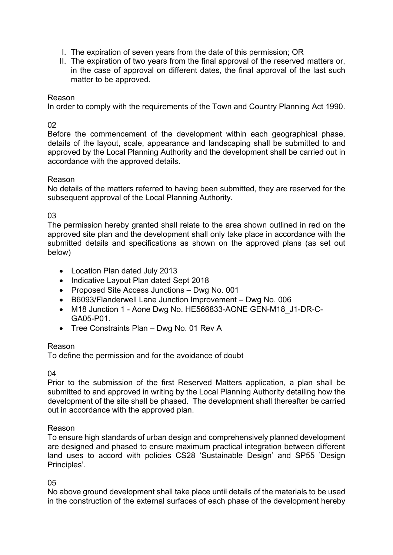- I. The expiration of seven years from the date of this permission; OR
- II. The expiration of two years from the final approval of the reserved matters or, in the case of approval on different dates, the final approval of the last such matter to be approved.

# Reason

In order to comply with the requirements of the Town and Country Planning Act 1990.

# 02

Before the commencement of the development within each geographical phase, details of the layout, scale, appearance and landscaping shall be submitted to and approved by the Local Planning Authority and the development shall be carried out in accordance with the approved details.

# Reason

No details of the matters referred to having been submitted, they are reserved for the subsequent approval of the Local Planning Authority*.* 

# 03

The permission hereby granted shall relate to the area shown outlined in red on the approved site plan and the development shall only take place in accordance with the submitted details and specifications as shown on the approved plans (as set out below)

- Location Plan dated July 2013
- Indicative Layout Plan dated Sept 2018
- Proposed Site Access Junctions Dwg No. 001
- B6093/Flanderwell Lane Junction Improvement Dwg No. 006
- M18 Junction 1 Aone Dwg No. HE566833-AONE GEN-M18 J1-DR-C-GA05-P01.
- Tree Constraints Plan Dwg No. 01 Rev A

# Reason

To define the permission and for the avoidance of doubt

# 04

Prior to the submission of the first Reserved Matters application, a plan shall be submitted to and approved in writing by the Local Planning Authority detailing how the development of the site shall be phased. The development shall thereafter be carried out in accordance with the approved plan.

# Reason

To ensure high standards of urban design and comprehensively planned development are designed and phased to ensure maximum practical integration between different land uses to accord with policies CS28 'Sustainable Design' and SP55 'Design Principles'.

# 05

No above ground development shall take place until details of the materials to be used in the construction of the external surfaces of each phase of the development hereby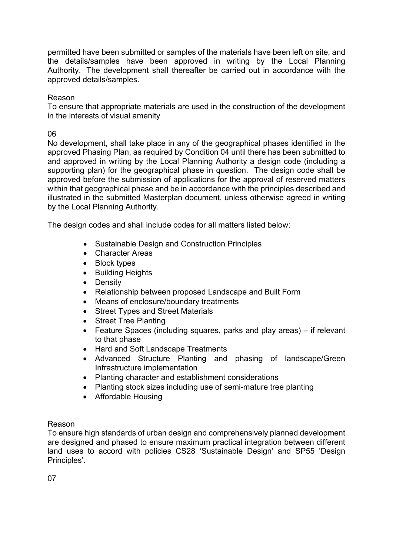permitted have been submitted or samples of the materials have been left on site, and the details/samples have been approved in writing by the Local Planning Authority. The development shall thereafter be carried out in accordance with the approved details/samples.

# Reason

To ensure that appropriate materials are used in the construction of the development in the interests of visual amenity

# 06

No development, shall take place in any of the geographical phases identified in the approved Phasing Plan, as required by Condition 04 until there has been submitted to and approved in writing by the Local Planning Authority a design code (including a supporting plan) for the geographical phase in question. The design code shall be approved before the submission of applications for the approval of reserved matters within that geographical phase and be in accordance with the principles described and illustrated in the submitted Masterplan document, unless otherwise agreed in writing by the Local Planning Authority.

The design codes and shall include codes for all matters listed below:

- Sustainable Design and Construction Principles
- Character Areas
- Block types
- Building Heights
- Density
- Relationship between proposed Landscape and Built Form
- Means of enclosure/boundary treatments
- Street Types and Street Materials
- Street Tree Planting
- Feature Spaces (including squares, parks and play areas) if relevant to that phase
- Hard and Soft Landscape Treatments
- Advanced Structure Planting and phasing of landscape/Green Infrastructure implementation
- Planting character and establishment considerations
- Planting stock sizes including use of semi-mature tree planting
- Affordable Housing

# Reason

To ensure high standards of urban design and comprehensively planned development are designed and phased to ensure maximum practical integration between different land uses to accord with policies CS28 'Sustainable Design' and SP55 'Design Principles'.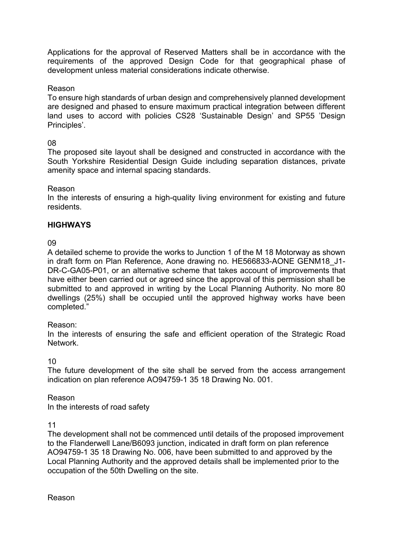Applications for the approval of Reserved Matters shall be in accordance with the requirements of the approved Design Code for that geographical phase of development unless material considerations indicate otherwise.

# Reason

To ensure high standards of urban design and comprehensively planned development are designed and phased to ensure maximum practical integration between different land uses to accord with policies CS28 'Sustainable Design' and SP55 'Design Principles'.

# 08

The proposed site layout shall be designed and constructed in accordance with the South Yorkshire Residential Design Guide including separation distances, private amenity space and internal spacing standards.

# Reason

In the interests of ensuring a high-quality living environment for existing and future residents.

# **HIGHWAYS**

### 09

A detailed scheme to provide the works to Junction 1 of the M 18 Motorway as shown in draft form on Plan Reference, Aone drawing no. HE566833-AONE GENM18\_J1- DR-C-GA05-P01, or an alternative scheme that takes account of improvements that have either been carried out or agreed since the approval of this permission shall be submitted to and approved in writing by the Local Planning Authority. No more 80 dwellings (25%) shall be occupied until the approved highway works have been completed."

# Reason:

In the interests of ensuring the safe and efficient operation of the Strategic Road Network.

### 10

The future development of the site shall be served from the access arrangement indication on plan reference AO94759-1 35 18 Drawing No. 001.

### Reason

In the interests of road safety

### 11

The development shall not be commenced until details of the proposed improvement to the Flanderwell Lane/B6093 junction, indicated in draft form on plan reference AO94759-1 35 18 Drawing No. 006, have been submitted to and approved by the Local Planning Authority and the approved details shall be implemented prior to the occupation of the 50th Dwelling on the site.

Reason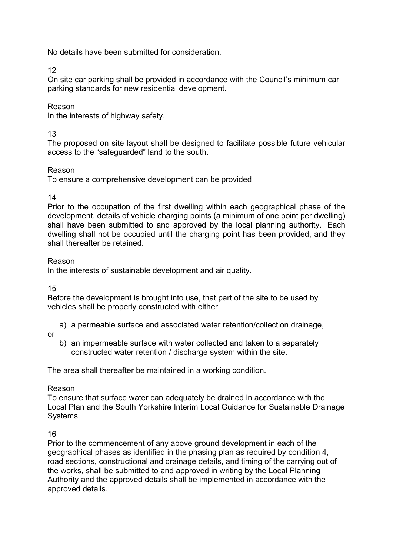No details have been submitted for consideration.

12

On site car parking shall be provided in accordance with the Council's minimum car parking standards for new residential development.

# Reason

In the interests of highway safety.

13

The proposed on site layout shall be designed to facilitate possible future vehicular access to the "safeguarded" land to the south.

# Reason

To ensure a comprehensive development can be provided

# 14

Prior to the occupation of the first dwelling within each geographical phase of the development, details of vehicle charging points (a minimum of one point per dwelling) shall have been submitted to and approved by the local planning authority. Each dwelling shall not be occupied until the charging point has been provided, and they shall thereafter be retained.

# Reason

In the interests of sustainable development and air quality.

15

Before the development is brought into use, that part of the site to be used by vehicles shall be properly constructed with either

a) a permeable surface and associated water retention/collection drainage,

or

b) an impermeable surface with water collected and taken to a separately constructed water retention / discharge system within the site.

The area shall thereafter be maintained in a working condition.

Reason

To ensure that surface water can adequately be drained in accordance with the Local Plan and the South Yorkshire Interim Local Guidance for Sustainable Drainage Systems.

16

Prior to the commencement of any above ground development in each of the geographical phases as identified in the phasing plan as required by condition 4, road sections, constructional and drainage details, and timing of the carrying out of the works, shall be submitted to and approved in writing by the Local Planning Authority and the approved details shall be implemented in accordance with the approved details.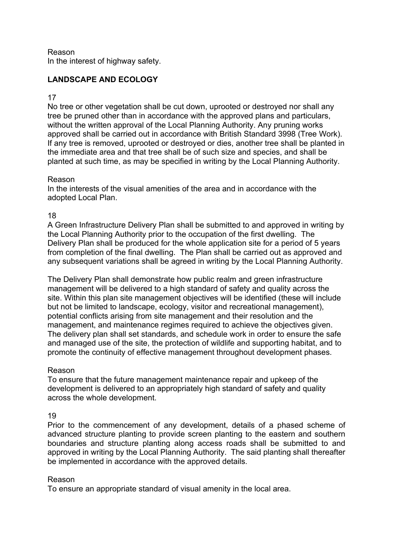Reason In the interest of highway safety.

# **LANDSCAPE AND ECOLOGY**

### 17

No tree or other vegetation shall be cut down, uprooted or destroyed nor shall any tree be pruned other than in accordance with the approved plans and particulars, without the written approval of the Local Planning Authority. Any pruning works approved shall be carried out in accordance with British Standard 3998 (Tree Work). If any tree is removed, uprooted or destroyed or dies, another tree shall be planted in the immediate area and that tree shall be of such size and species, and shall be planted at such time, as may be specified in writing by the Local Planning Authority.

### Reason

In the interests of the visual amenities of the area and in accordance with the adopted Local Plan.

### 18

A Green Infrastructure Delivery Plan shall be submitted to and approved in writing by the Local Planning Authority prior to the occupation of the first dwelling. The Delivery Plan shall be produced for the whole application site for a period of 5 years from completion of the final dwelling. The Plan shall be carried out as approved and any subsequent variations shall be agreed in writing by the Local Planning Authority.

The Delivery Plan shall demonstrate how public realm and green infrastructure management will be delivered to a high standard of safety and quality across the site. Within this plan site management objectives will be identified (these will include but not be limited to landscape, ecology, visitor and recreational management), potential conflicts arising from site management and their resolution and the management, and maintenance regimes required to achieve the objectives given. The delivery plan shall set standards, and schedule work in order to ensure the safe and managed use of the site, the protection of wildlife and supporting habitat, and to promote the continuity of effective management throughout development phases.

### Reason

To ensure that the future management maintenance repair and upkeep of the development is delivered to an appropriately high standard of safety and quality across the whole development.

### 19

Prior to the commencement of any development, details of a phased scheme of advanced structure planting to provide screen planting to the eastern and southern boundaries and structure planting along access roads shall be submitted to and approved in writing by the Local Planning Authority. The said planting shall thereafter be implemented in accordance with the approved details.

### Reason

To ensure an appropriate standard of visual amenity in the local area.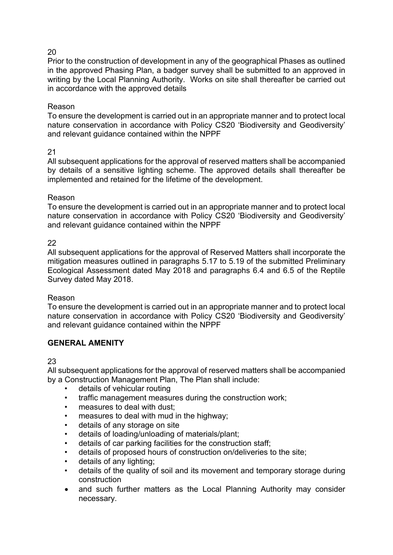# 20

Prior to the construction of development in any of the geographical Phases as outlined in the approved Phasing Plan, a badger survey shall be submitted to an approved in writing by the Local Planning Authority. Works on site shall thereafter be carried out in accordance with the approved details

# Reason

To ensure the development is carried out in an appropriate manner and to protect local nature conservation in accordance with Policy CS20 'Biodiversity and Geodiversity' and relevant guidance contained within the NPPF

# 21

All subsequent applications for the approval of reserved matters shall be accompanied by details of a sensitive lighting scheme. The approved details shall thereafter be implemented and retained for the lifetime of the development.

# Reason

To ensure the development is carried out in an appropriate manner and to protect local nature conservation in accordance with Policy CS20 'Biodiversity and Geodiversity' and relevant guidance contained within the NPPF

# 22

All subsequent applications for the approval of Reserved Matters shall incorporate the mitigation measures outlined in paragraphs 5.17 to 5.19 of the submitted Preliminary Ecological Assessment dated May 2018 and paragraphs 6.4 and 6.5 of the Reptile Survey dated May 2018.

# Reason

To ensure the development is carried out in an appropriate manner and to protect local nature conservation in accordance with Policy CS20 'Biodiversity and Geodiversity' and relevant guidance contained within the NPPF

# **GENERAL AMENITY**

# 23

All subsequent applications for the approval of reserved matters shall be accompanied by a Construction Management Plan, The Plan shall include:

- details of vehicular routing
- traffic management measures during the construction work;
- measures to deal with dust;
- measures to deal with mud in the highway;
- details of any storage on site
- details of loading/unloading of materials/plant;
- details of car parking facilities for the construction staff;
- details of proposed hours of construction on/deliveries to the site;
- details of any lighting;
- details of the quality of soil and its movement and temporary storage during construction
- and such further matters as the Local Planning Authority may consider necessary.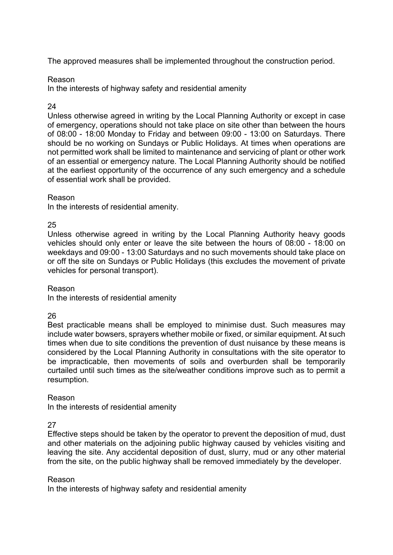The approved measures shall be implemented throughout the construction period.

# Reason

In the interests of highway safety and residential amenity

# 24

Unless otherwise agreed in writing by the Local Planning Authority or except in case of emergency, operations should not take place on site other than between the hours of 08:00 - 18:00 Monday to Friday and between 09:00 - 13:00 on Saturdays. There should be no working on Sundays or Public Holidays. At times when operations are not permitted work shall be limited to maintenance and servicing of plant or other work of an essential or emergency nature. The Local Planning Authority should be notified at the earliest opportunity of the occurrence of any such emergency and a schedule of essential work shall be provided.

### Reason

In the interests of residential amenity.

### 25

Unless otherwise agreed in writing by the Local Planning Authority heavy goods vehicles should only enter or leave the site between the hours of 08:00 - 18:00 on weekdays and 09:00 - 13:00 Saturdays and no such movements should take place on or off the site on Sundays or Public Holidays (this excludes the movement of private vehicles for personal transport).

### Reason

In the interests of residential amenity

### 26

Best practicable means shall be employed to minimise dust. Such measures may include water bowsers, sprayers whether mobile or fixed, or similar equipment. At such times when due to site conditions the prevention of dust nuisance by these means is considered by the Local Planning Authority in consultations with the site operator to be impracticable, then movements of soils and overburden shall be temporarily curtailed until such times as the site/weather conditions improve such as to permit a resumption.

### Reason

In the interests of residential amenity

### 27

Effective steps should be taken by the operator to prevent the deposition of mud, dust and other materials on the adjoining public highway caused by vehicles visiting and leaving the site. Any accidental deposition of dust, slurry, mud or any other material from the site, on the public highway shall be removed immediately by the developer.

### Reason

In the interests of highway safety and residential amenity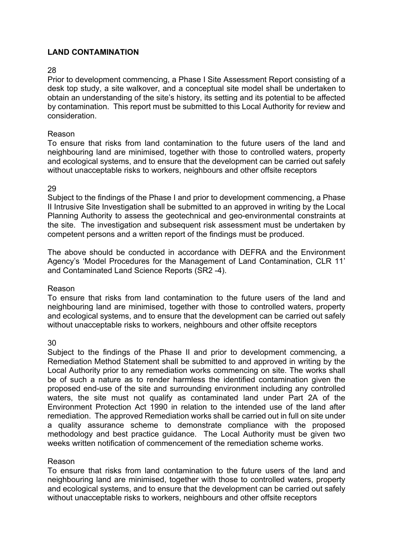# **LAND CONTAMINATION**

# 28

Prior to development commencing, a Phase I Site Assessment Report consisting of a desk top study, a site walkover, and a conceptual site model shall be undertaken to obtain an understanding of the site's history, its setting and its potential to be affected by contamination. This report must be submitted to this Local Authority for review and consideration.

### Reason

To ensure that risks from land contamination to the future users of the land and neighbouring land are minimised, together with those to controlled waters, property and ecological systems, and to ensure that the development can be carried out safely without unacceptable risks to workers, neighbours and other offsite receptors

### 29

Subject to the findings of the Phase I and prior to development commencing, a Phase II Intrusive Site Investigation shall be submitted to an approved in writing by the Local Planning Authority to assess the geotechnical and geo-environmental constraints at the site. The investigation and subsequent risk assessment must be undertaken by competent persons and a written report of the findings must be produced.

The above should be conducted in accordance with DEFRA and the Environment Agency's 'Model Procedures for the Management of Land Contamination, CLR 11' and Contaminated Land Science Reports (SR2 -4).

# Reason

To ensure that risks from land contamination to the future users of the land and neighbouring land are minimised, together with those to controlled waters, property and ecological systems, and to ensure that the development can be carried out safely without unacceptable risks to workers, neighbours and other offsite receptors

30

Subject to the findings of the Phase II and prior to development commencing, a Remediation Method Statement shall be submitted to and approved in writing by the Local Authority prior to any remediation works commencing on site. The works shall be of such a nature as to render harmless the identified contamination given the proposed end-use of the site and surrounding environment including any controlled waters, the site must not qualify as contaminated land under Part 2A of the Environment Protection Act 1990 in relation to the intended use of the land after remediation. The approved Remediation works shall be carried out in full on site under a quality assurance scheme to demonstrate compliance with the proposed methodology and best practice guidance. The Local Authority must be given two weeks written notification of commencement of the remediation scheme works.

# Reason

To ensure that risks from land contamination to the future users of the land and neighbouring land are minimised, together with those to controlled waters, property and ecological systems, and to ensure that the development can be carried out safely without unacceptable risks to workers, neighbours and other offsite receptors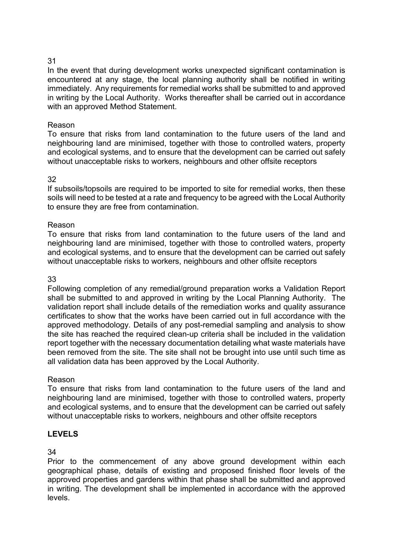# 31

In the event that during development works unexpected significant contamination is encountered at any stage, the local planning authority shall be notified in writing immediately. Any requirements for remedial works shall be submitted to and approved in writing by the Local Authority. Works thereafter shall be carried out in accordance with an approved Method Statement.

### Reason

To ensure that risks from land contamination to the future users of the land and neighbouring land are minimised, together with those to controlled waters, property and ecological systems, and to ensure that the development can be carried out safely without unacceptable risks to workers, neighbours and other offsite receptors

### 32

If subsoils/topsoils are required to be imported to site for remedial works, then these soils will need to be tested at a rate and frequency to be agreed with the Local Authority to ensure they are free from contamination.

### Reason

To ensure that risks from land contamination to the future users of the land and neighbouring land are minimised, together with those to controlled waters, property and ecological systems, and to ensure that the development can be carried out safely without unacceptable risks to workers, neighbours and other offsite receptors

### 33

Following completion of any remedial/ground preparation works a Validation Report shall be submitted to and approved in writing by the Local Planning Authority. The validation report shall include details of the remediation works and quality assurance certificates to show that the works have been carried out in full accordance with the approved methodology. Details of any post-remedial sampling and analysis to show the site has reached the required clean-up criteria shall be included in the validation report together with the necessary documentation detailing what waste materials have been removed from the site. The site shall not be brought into use until such time as all validation data has been approved by the Local Authority.

### Reason

To ensure that risks from land contamination to the future users of the land and neighbouring land are minimised, together with those to controlled waters, property and ecological systems, and to ensure that the development can be carried out safely without unacceptable risks to workers, neighbours and other offsite receptors

# **LEVELS**

### 34

Prior to the commencement of any above ground development within each geographical phase, details of existing and proposed finished floor levels of the approved properties and gardens within that phase shall be submitted and approved in writing. The development shall be implemented in accordance with the approved levels.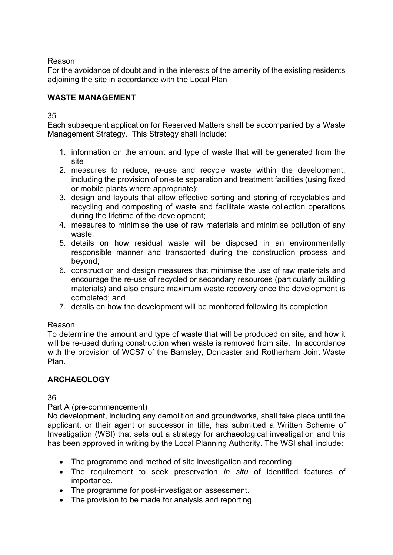# Reason

For the avoidance of doubt and in the interests of the amenity of the existing residents adjoining the site in accordance with the Local Plan

# **WASTE MANAGEMENT**

35

Each subsequent application for Reserved Matters shall be accompanied by a Waste Management Strategy. This Strategy shall include:

- 1. information on the amount and type of waste that will be generated from the site
- 2. measures to reduce, re-use and recycle waste within the development, including the provision of on-site separation and treatment facilities (using fixed or mobile plants where appropriate);
- 3. design and layouts that allow effective sorting and storing of recyclables and recycling and composting of waste and facilitate waste collection operations during the lifetime of the development;
- 4. measures to minimise the use of raw materials and minimise pollution of any waste;
- 5. details on how residual waste will be disposed in an environmentally responsible manner and transported during the construction process and beyond;
- 6. construction and design measures that minimise the use of raw materials and encourage the re-use of recycled or secondary resources (particularly building materials) and also ensure maximum waste recovery once the development is completed; and
- 7. details on how the development will be monitored following its completion.

# Reason

To determine the amount and type of waste that will be produced on site, and how it will be re-used during construction when waste is removed from site. In accordance with the provision of WCS7 of the Barnsley, Doncaster and Rotherham Joint Waste Plan.

# **ARCHAEOLOGY**

36

# Part A (pre-commencement)

No development, including any demolition and groundworks, shall take place until the applicant, or their agent or successor in title, has submitted a Written Scheme of Investigation (WSI) that sets out a strategy for archaeological investigation and this has been approved in writing by the Local Planning Authority. The WSI shall include:

- The programme and method of site investigation and recording.
- The requirement to seek preservation *in situ* of identified features of importance.
- The programme for post-investigation assessment.
- The provision to be made for analysis and reporting.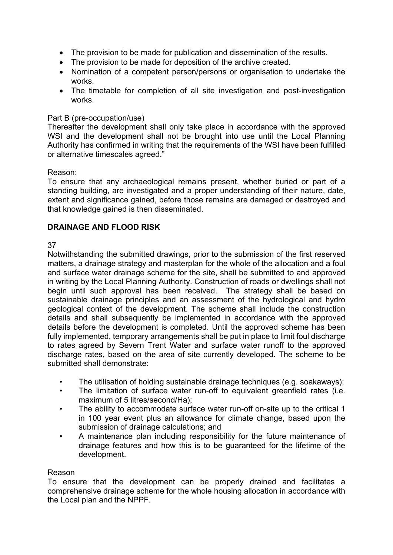- The provision to be made for publication and dissemination of the results.
- The provision to be made for deposition of the archive created.
- Nomination of a competent person/persons or organisation to undertake the works.
- The timetable for completion of all site investigation and post-investigation works.

### Part B (pre-occupation/use)

Thereafter the development shall only take place in accordance with the approved WSI and the development shall not be brought into use until the Local Planning Authority has confirmed in writing that the requirements of the WSI have been fulfilled or alternative timescales agreed."

### Reason:

To ensure that any archaeological remains present, whether buried or part of a standing building, are investigated and a proper understanding of their nature, date, extent and significance gained, before those remains are damaged or destroyed and that knowledge gained is then disseminated.

# **DRAINAGE AND FLOOD RISK**

### 37

Notwithstanding the submitted drawings, prior to the submission of the first reserved matters, a drainage strategy and masterplan for the whole of the allocation and a foul and surface water drainage scheme for the site, shall be submitted to and approved in writing by the Local Planning Authority. Construction of roads or dwellings shall not begin until such approval has been received. The strategy shall be based on sustainable drainage principles and an assessment of the hydrological and hydro geological context of the development. The scheme shall include the construction details and shall subsequently be implemented in accordance with the approved details before the development is completed. Until the approved scheme has been fully implemented, temporary arrangements shall be put in place to limit foul discharge to rates agreed by Severn Trent Water and surface water runoff to the approved discharge rates, based on the area of site currently developed. The scheme to be submitted shall demonstrate:

- The utilisation of holding sustainable drainage techniques (e.g. soakaways);
- The limitation of surface water run-off to equivalent greenfield rates (i.e. maximum of 5 litres/second/Ha);
- The ability to accommodate surface water run-off on-site up to the critical 1 in 100 year event plus an allowance for climate change, based upon the submission of drainage calculations; and
- A maintenance plan including responsibility for the future maintenance of drainage features and how this is to be guaranteed for the lifetime of the development.

### Reason

To ensure that the development can be properly drained and facilitates a comprehensive drainage scheme for the whole housing allocation in accordance with the Local plan and the NPPF.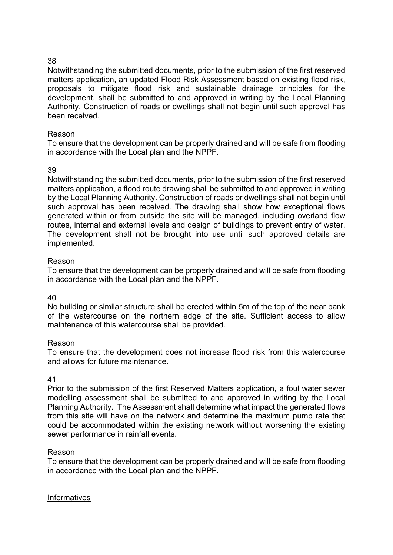# 38

Notwithstanding the submitted documents, prior to the submission of the first reserved matters application, an updated Flood Risk Assessment based on existing flood risk, proposals to mitigate flood risk and sustainable drainage principles for the development, shall be submitted to and approved in writing by the Local Planning Authority. Construction of roads or dwellings shall not begin until such approval has been received.

### Reason

To ensure that the development can be properly drained and will be safe from flooding in accordance with the Local plan and the NPPF.

### 39

Notwithstanding the submitted documents, prior to the submission of the first reserved matters application, a flood route drawing shall be submitted to and approved in writing by the Local Planning Authority. Construction of roads or dwellings shall not begin until such approval has been received. The drawing shall show how exceptional flows generated within or from outside the site will be managed, including overland flow routes, internal and external levels and design of buildings to prevent entry of water. The development shall not be brought into use until such approved details are implemented.

### Reason

To ensure that the development can be properly drained and will be safe from flooding in accordance with the Local plan and the NPPF.

### 40

No building or similar structure shall be erected within 5m of the top of the near bank of the watercourse on the northern edge of the site. Sufficient access to allow maintenance of this watercourse shall be provided.

### Reason

To ensure that the development does not increase flood risk from this watercourse and allows for future maintenance.

### 41

Prior to the submission of the first Reserved Matters application, a foul water sewer modelling assessment shall be submitted to and approved in writing by the Local Planning Authority. The Assessment shall determine what impact the generated flows from this site will have on the network and determine the maximum pump rate that could be accommodated within the existing network without worsening the existing sewer performance in rainfall events.

### Reason

To ensure that the development can be properly drained and will be safe from flooding in accordance with the Local plan and the NPPF.

# Informatives